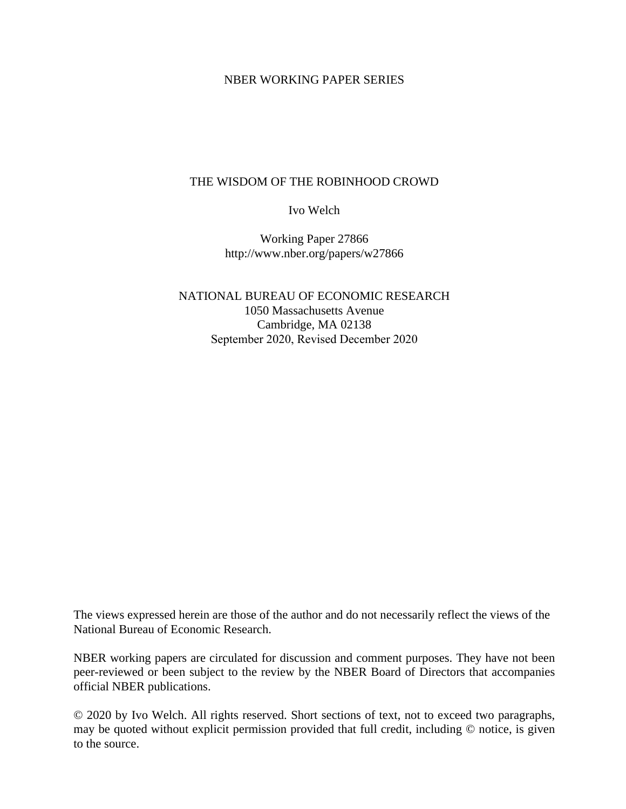### NBER WORKING PAPER SERIES

## THE WISDOM OF THE ROBINHOOD CROWD

Ivo Welch

Working Paper 27866 http://www.nber.org/papers/w27866

NATIONAL BUREAU OF ECONOMIC RESEARCH 1050 Massachusetts Avenue Cambridge, MA 02138 September 2020, Revised December 2020

The views expressed herein are those of the author and do not necessarily reflect the views of the National Bureau of Economic Research.

NBER working papers are circulated for discussion and comment purposes. They have not been peer-reviewed or been subject to the review by the NBER Board of Directors that accompanies official NBER publications.

© 2020 by Ivo Welch. All rights reserved. Short sections of text, not to exceed two paragraphs, may be quoted without explicit permission provided that full credit, including © notice, is given to the source.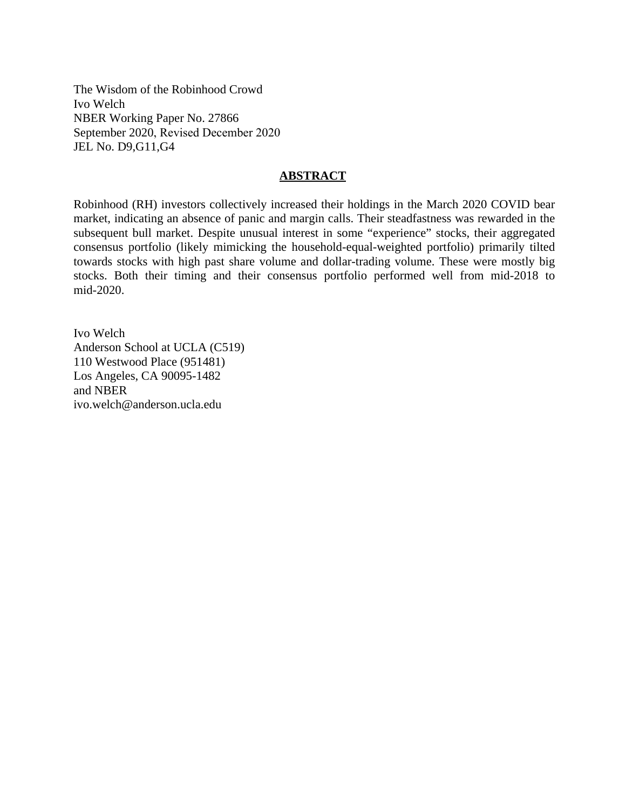The Wisdom of the Robinhood Crowd Ivo Welch NBER Working Paper No. 27866 September 2020, Revised December 2020 JEL No. D9,G11,G4

### **ABSTRACT**

Robinhood (RH) investors collectively increased their holdings in the March 2020 COVID bear market, indicating an absence of panic and margin calls. Their steadfastness was rewarded in the subsequent bull market. Despite unusual interest in some "experience" stocks, their aggregated consensus portfolio (likely mimicking the household-equal-weighted portfolio) primarily tilted towards stocks with high past share volume and dollar-trading volume. These were mostly big stocks. Both their timing and their consensus portfolio performed well from mid-2018 to mid-2020.

Ivo Welch Anderson School at UCLA (C519) 110 Westwood Place (951481) Los Angeles, CA 90095-1482 and NBER ivo.welch@anderson.ucla.edu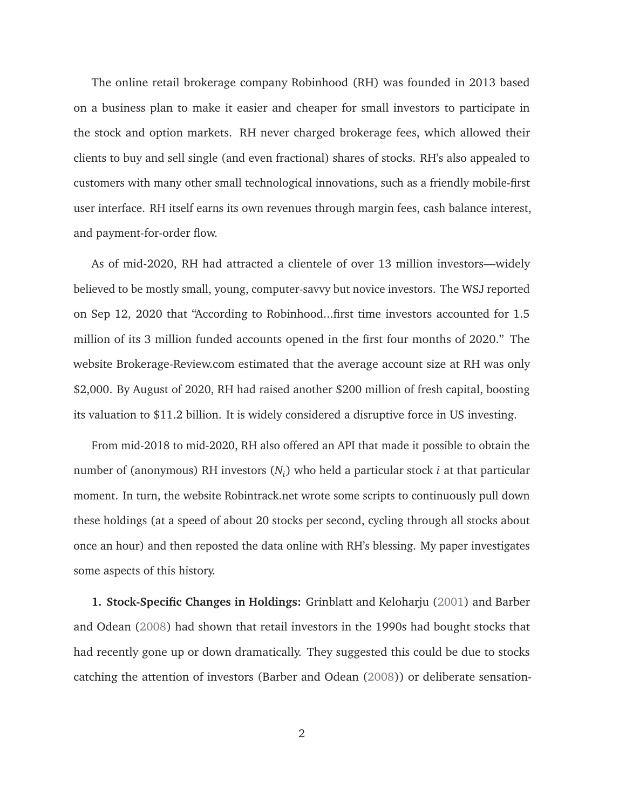The online retail brokerage company Robinhood (RH) was founded in 2013 based on a business plan to make it easier and cheaper for small investors to participate in the stock and option markets. RH never charged brokerage fees, which allowed their clients to buy and sell single (and even fractional) shares of stocks. RH's also appealed to customers with many other small technological innovations, such as a friendly mobile-first user interface. RH itself earns its own revenues through margin fees, cash balance interest, and payment-for-order flow.

As of mid-2020, RH had attracted a clientele of over 13 million investors—widely believed to be mostly small, young, computer-savvy but novice investors. The WSJ reported on Sep 12, 2020 that "According to Robinhood...first time investors accounted for 1.5 million of its 3 million funded accounts opened in the first four months of 2020." The website Brokerage-Review.com estimated that the average account size at RH was only \$2,000. By August of 2020, RH had raised another \$200 million of fresh capital, boosting its valuation to \$11.2 billion. It is widely considered a disruptive force in US investing.

From mid-2018 to mid-2020, RH also offered an API that made it possible to obtain the number of (anonymous) RH investors (*N<sup>i</sup>* ) who held a particular stock *i* at that particular moment. In turn, the website Robintrack.net wrote some scripts to continuously pull down these holdings (at a speed of about 20 stocks per second, cycling through all stocks about once an hour) and then reposted the data online with RH's blessing. My paper investigates some aspects of this history.

**1. Stock-Specific Changes in Holdings:** Grinblatt and Keloharju (2001) and Barber and Odean (2008) had shown that retail investors in the 1990s had bought stocks that had recently gone up or down dramatically. They suggested this could be due to stocks catching the attention of investors (Barber and Odean (2008)) or deliberate sensation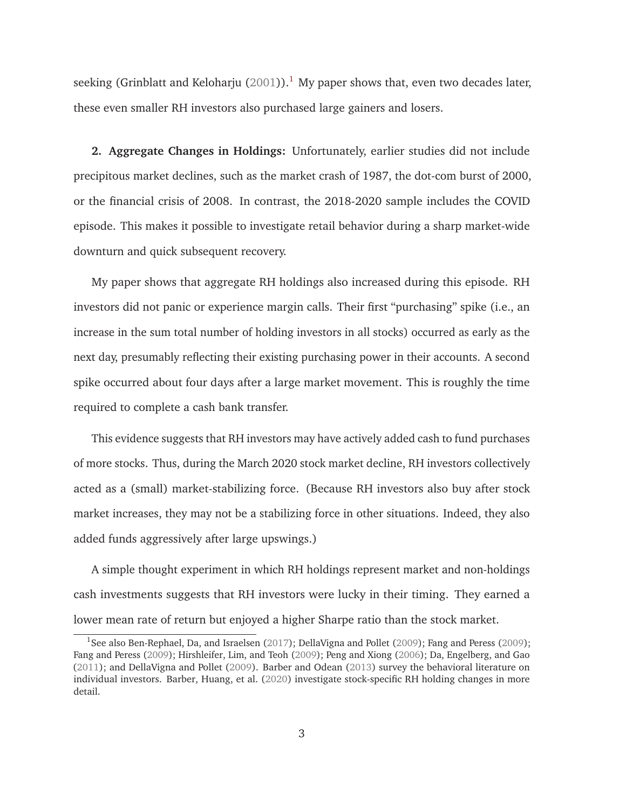seeking (Grinblatt and Keloharju (2001)).<sup>1</sup> My paper shows that, even two decades later, these even smaller RH investors also purchased large gainers and losers.

**2. Aggregate Changes in Holdings:** Unfortunately, earlier studies did not include precipitous market declines, such as the market crash of 1987, the dot-com burst of 2000, or the financial crisis of 2008. In contrast, the 2018-2020 sample includes the COVID episode. This makes it possible to investigate retail behavior during a sharp market-wide downturn and quick subsequent recovery.

My paper shows that aggregate RH holdings also increased during this episode. RH investors did not panic or experience margin calls. Their first "purchasing" spike (i.e., an increase in the sum total number of holding investors in all stocks) occurred as early as the next day, presumably reflecting their existing purchasing power in their accounts. A second spike occurred about four days after a large market movement. This is roughly the time required to complete a cash bank transfer.

This evidence suggests that RH investors may have actively added cash to fund purchases of more stocks. Thus, during the March 2020 stock market decline, RH investors collectively acted as a (small) market-stabilizing force. (Because RH investors also buy after stock market increases, they may not be a stabilizing force in other situations. Indeed, they also added funds aggressively after large upswings.)

A simple thought experiment in which RH holdings represent market and non-holdings cash investments suggests that RH investors were lucky in their timing. They earned a lower mean rate of return but enjoyed a higher Sharpe ratio than the stock market.

<sup>&</sup>lt;sup>1</sup>See also Ben-Rephael, Da, and Israelsen (2017); DellaVigna and Pollet (2009); Fang and Peress (2009); Fang and Peress (2009); Hirshleifer, Lim, and Teoh (2009); Peng and Xiong (2006); Da, Engelberg, and Gao (2011); and DellaVigna and Pollet (2009). Barber and Odean (2013) survey the behavioral literature on individual investors. Barber, Huang, et al. (2020) investigate stock-specific RH holding changes in more detail.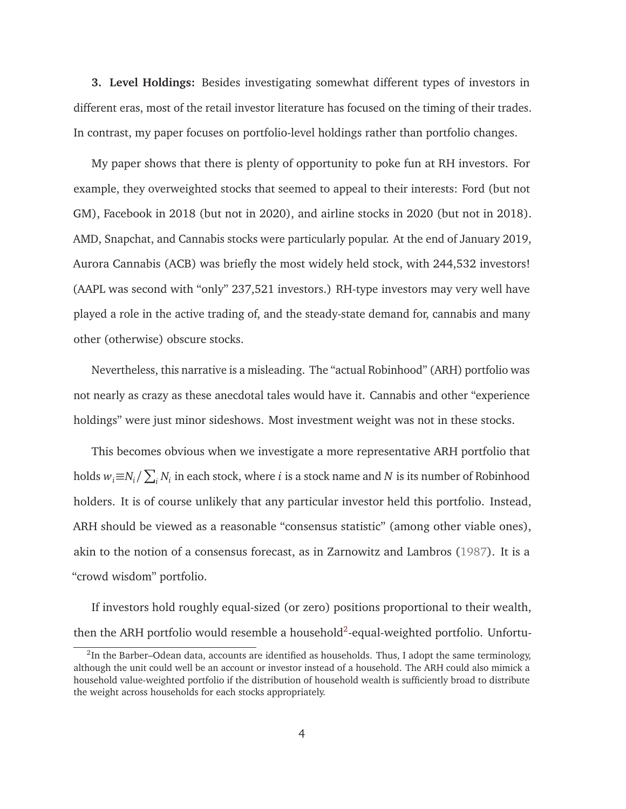**3. Level Holdings:** Besides investigating somewhat different types of investors in different eras, most of the retail investor literature has focused on the timing of their trades. In contrast, my paper focuses on portfolio-level holdings rather than portfolio changes.

My paper shows that there is plenty of opportunity to poke fun at RH investors. For example, they overweighted stocks that seemed to appeal to their interests: Ford (but not GM), Facebook in 2018 (but not in 2020), and airline stocks in 2020 (but not in 2018). AMD, Snapchat, and Cannabis stocks were particularly popular. At the end of January 2019, Aurora Cannabis (ACB) was briefly the most widely held stock, with 244,532 investors! (AAPL was second with "only" 237,521 investors.) RH-type investors may very well have played a role in the active trading of, and the steady-state demand for, cannabis and many other (otherwise) obscure stocks.

Nevertheless, this narrative is a misleading. The "actual Robinhood" (ARH) portfolio was not nearly as crazy as these anecdotal tales would have it. Cannabis and other "experience holdings" were just minor sideshows. Most investment weight was not in these stocks.

This becomes obvious when we investigate a more representative ARH portfolio that holds  $w_i{\equiv}N_i/\sum_i N_i$  in each stock, where  $i$  is a stock name and  $N$  is its number of Robinhood holders. It is of course unlikely that any particular investor held this portfolio. Instead, ARH should be viewed as a reasonable "consensus statistic" (among other viable ones), akin to the notion of a consensus forecast, as in Zarnowitz and Lambros (1987). It is a "crowd wisdom" portfolio.

If investors hold roughly equal-sized (or zero) positions proportional to their wealth, then the ARH portfolio would resemble a household<sup>2</sup>-equal-weighted portfolio. Unfortu-

 $^2$ In the Barber–Odean data, accounts are identified as households. Thus, I adopt the same terminology, although the unit could well be an account or investor instead of a household. The ARH could also mimick a household value-weighted portfolio if the distribution of household wealth is sufficiently broad to distribute the weight across households for each stocks appropriately.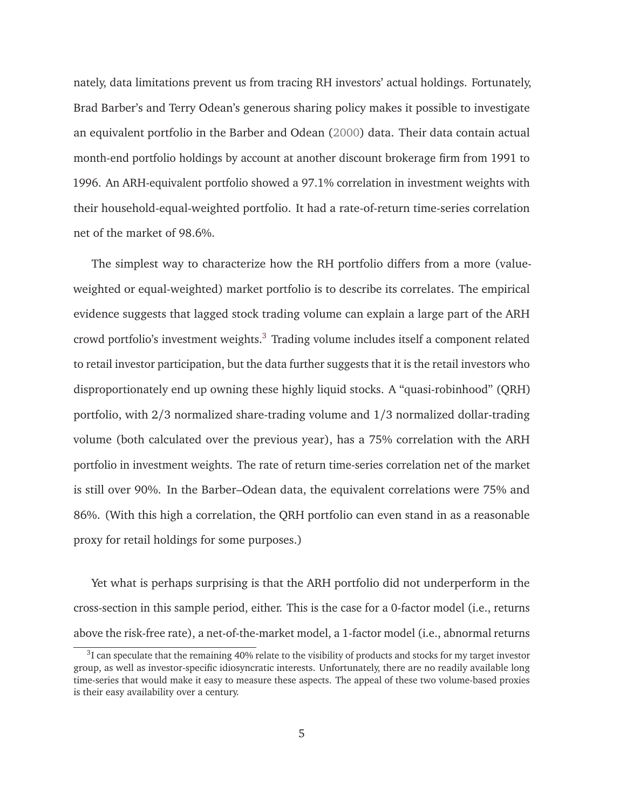nately, data limitations prevent us from tracing RH investors' actual holdings. Fortunately, Brad Barber's and Terry Odean's generous sharing policy makes it possible to investigate an equivalent portfolio in the Barber and Odean (2000) data. Their data contain actual month-end portfolio holdings by account at another discount brokerage firm from 1991 to 1996. An ARH-equivalent portfolio showed a 97.1% correlation in investment weights with their household-equal-weighted portfolio. It had a rate-of-return time-series correlation net of the market of 98.6%.

The simplest way to characterize how the RH portfolio differs from a more (valueweighted or equal-weighted) market portfolio is to describe its correlates. The empirical evidence suggests that lagged stock trading volume can explain a large part of the ARH crowd portfolio's investment weights.<sup>3</sup> Trading volume includes itself a component related to retail investor participation, but the data further suggests that it is the retail investors who disproportionately end up owning these highly liquid stocks. A "quasi-robinhood" (QRH) portfolio, with 2/3 normalized share-trading volume and 1/3 normalized dollar-trading volume (both calculated over the previous year), has a 75% correlation with the ARH portfolio in investment weights. The rate of return time-series correlation net of the market is still over 90%. In the Barber–Odean data, the equivalent correlations were 75% and 86%. (With this high a correlation, the QRH portfolio can even stand in as a reasonable proxy for retail holdings for some purposes.)

Yet what is perhaps surprising is that the ARH portfolio did not underperform in the cross-section in this sample period, either. This is the case for a 0-factor model (i.e., returns above the risk-free rate), a net-of-the-market model, a 1-factor model (i.e., abnormal returns

 $3$ I can speculate that the remaining 40% relate to the visibility of products and stocks for my target investor group, as well as investor-specific idiosyncratic interests. Unfortunately, there are no readily available long time-series that would make it easy to measure these aspects. The appeal of these two volume-based proxies is their easy availability over a century.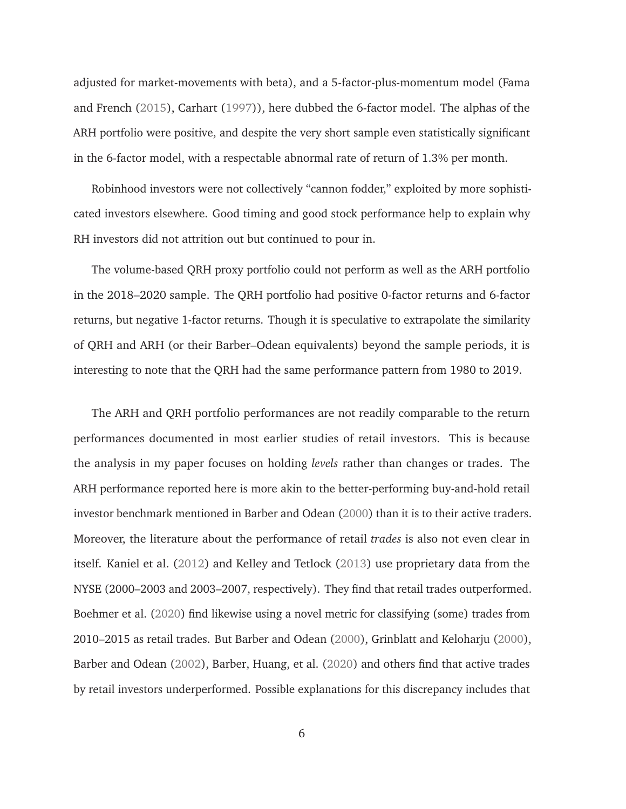adjusted for market-movements with beta), and a 5-factor-plus-momentum model (Fama and French (2015), Carhart (1997)), here dubbed the 6-factor model. The alphas of the ARH portfolio were positive, and despite the very short sample even statistically significant in the 6-factor model, with a respectable abnormal rate of return of 1.3% per month.

Robinhood investors were not collectively "cannon fodder," exploited by more sophisticated investors elsewhere. Good timing and good stock performance help to explain why RH investors did not attrition out but continued to pour in.

The volume-based QRH proxy portfolio could not perform as well as the ARH portfolio in the 2018–2020 sample. The QRH portfolio had positive 0-factor returns and 6-factor returns, but negative 1-factor returns. Though it is speculative to extrapolate the similarity of QRH and ARH (or their Barber–Odean equivalents) beyond the sample periods, it is interesting to note that the QRH had the same performance pattern from 1980 to 2019.

The ARH and QRH portfolio performances are not readily comparable to the return performances documented in most earlier studies of retail investors. This is because the analysis in my paper focuses on holding *levels* rather than changes or trades. The ARH performance reported here is more akin to the better-performing buy-and-hold retail investor benchmark mentioned in Barber and Odean (2000) than it is to their active traders. Moreover, the literature about the performance of retail *trades* is also not even clear in itself. Kaniel et al. (2012) and Kelley and Tetlock (2013) use proprietary data from the NYSE (2000–2003 and 2003–2007, respectively). They find that retail trades outperformed. Boehmer et al. (2020) find likewise using a novel metric for classifying (some) trades from 2010–2015 as retail trades. But Barber and Odean (2000), Grinblatt and Keloharju (2000), Barber and Odean (2002), Barber, Huang, et al. (2020) and others find that active trades by retail investors underperformed. Possible explanations for this discrepancy includes that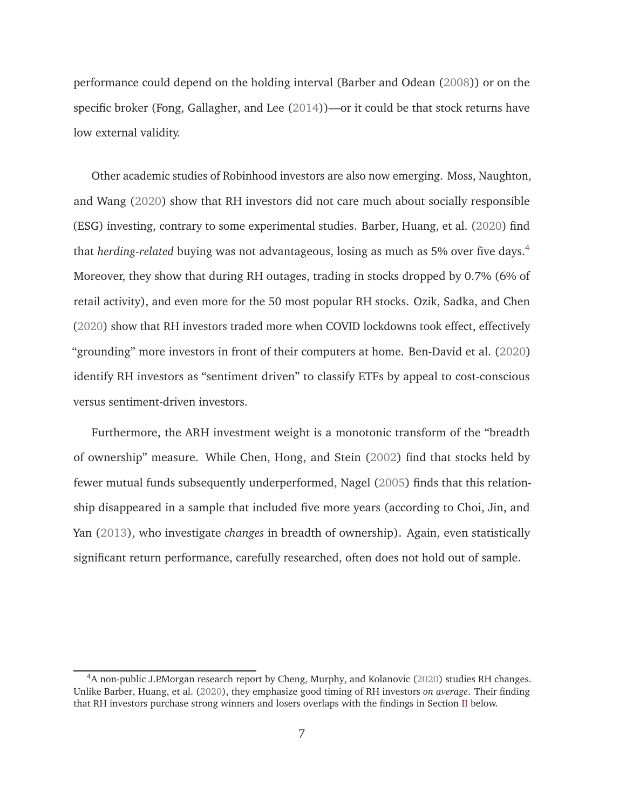performance could depend on the holding interval (Barber and Odean (2008)) or on the specific broker (Fong, Gallagher, and Lee (2014))—or it could be that stock returns have low external validity.

Other academic studies of Robinhood investors are also now emerging. Moss, Naughton, and Wang (2020) show that RH investors did not care much about socially responsible (ESG) investing, contrary to some experimental studies. Barber, Huang, et al. (2020) find that *herding-related* buying was not advantageous, losing as much as 5% over five days.<sup>4</sup> Moreover, they show that during RH outages, trading in stocks dropped by 0.7% (6% of retail activity), and even more for the 50 most popular RH stocks. Ozik, Sadka, and Chen (2020) show that RH investors traded more when COVID lockdowns took effect, effectively "grounding" more investors in front of their computers at home. Ben-David et al. (2020) identify RH investors as "sentiment driven" to classify ETFs by appeal to cost-conscious versus sentiment-driven investors.

Furthermore, the ARH investment weight is a monotonic transform of the "breadth of ownership" measure. While Chen, Hong, and Stein (2002) find that stocks held by fewer mutual funds subsequently underperformed, Nagel (2005) finds that this relationship disappeared in a sample that included five more years (according to Choi, Jin, and Yan (2013), who investigate *changes* in breadth of ownership). Again, even statistically significant return performance, carefully researched, often does not hold out of sample.

<sup>&</sup>lt;sup>4</sup>A non-public J.P.Morgan research report by Cheng, Murphy, and Kolanovic (2020) studies RH changes. Unlike Barber, Huang, et al. (2020), they emphasize good timing of RH investors *on average*. Their finding that RH investors purchase strong winners and losers overlaps with the findings in Section II below.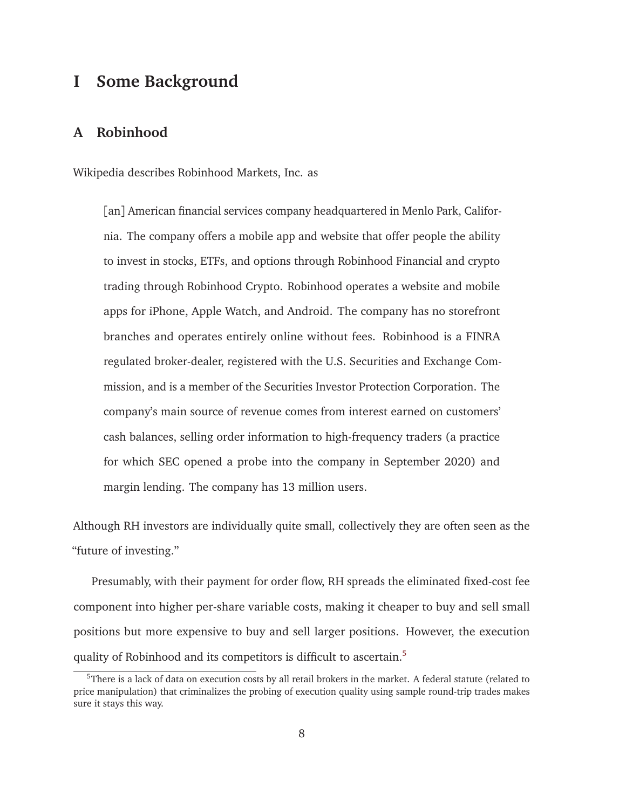# **I Some Background**

# **A Robinhood**

Wikipedia describes Robinhood Markets, Inc. as

[an] American financial services company headquartered in Menlo Park, California. The company offers a mobile app and website that offer people the ability to invest in stocks, ETFs, and options through Robinhood Financial and crypto trading through Robinhood Crypto. Robinhood operates a website and mobile apps for iPhone, Apple Watch, and Android. The company has no storefront branches and operates entirely online without fees. Robinhood is a FINRA regulated broker-dealer, registered with the U.S. Securities and Exchange Commission, and is a member of the Securities Investor Protection Corporation. The company's main source of revenue comes from interest earned on customers' cash balances, selling order information to high-frequency traders (a practice for which SEC opened a probe into the company in September 2020) and margin lending. The company has 13 million users.

Although RH investors are individually quite small, collectively they are often seen as the "future of investing."

Presumably, with their payment for order flow, RH spreads the eliminated fixed-cost fee component into higher per-share variable costs, making it cheaper to buy and sell small positions but more expensive to buy and sell larger positions. However, the execution quality of Robinhood and its competitors is difficult to ascertain.<sup>5</sup>

<sup>&</sup>lt;sup>5</sup>There is a lack of data on execution costs by all retail brokers in the market. A federal statute (related to price manipulation) that criminalizes the probing of execution quality using sample round-trip trades makes sure it stays this way.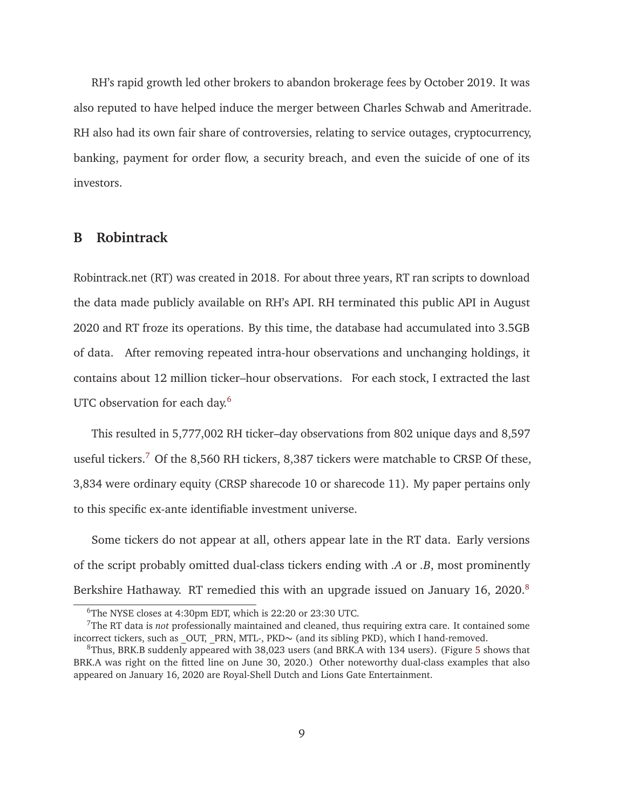RH's rapid growth led other brokers to abandon brokerage fees by October 2019. It was also reputed to have helped induce the merger between Charles Schwab and Ameritrade. RH also had its own fair share of controversies, relating to service outages, cryptocurrency, banking, payment for order flow, a security breach, and even the suicide of one of its investors.

# **B Robintrack**

Robintrack.net (RT) was created in 2018. For about three years, RT ran scripts to download the data made publicly available on RH's API. RH terminated this public API in August 2020 and RT froze its operations. By this time, the database had accumulated into 3.5GB of data. After removing repeated intra-hour observations and unchanging holdings, it contains about 12 million ticker–hour observations. For each stock, I extracted the last UTC observation for each day.<sup>6</sup>

This resulted in 5,777,002 RH ticker–day observations from 802 unique days and 8,597 useful tickers.<sup>7</sup> Of the 8,560 RH tickers, 8,387 tickers were matchable to CRSP. Of these, 3,834 were ordinary equity (CRSP sharecode 10 or sharecode 11). My paper pertains only to this specific ex-ante identifiable investment universe.

Some tickers do not appear at all, others appear late in the RT data. Early versions of the script probably omitted dual-class tickers ending with *.A* or *.B*, most prominently Berkshire Hathaway. RT remedied this with an upgrade issued on January 16, 2020.<sup>8</sup>

<sup>6</sup>The NYSE closes at 4:30pm EDT, which is 22:20 or 23:30 UTC.

<sup>7</sup>The RT data is *not* professionally maintained and cleaned, thus requiring extra care. It contained some incorrect tickers, such as \_OUT, \_PRN, MTL-, PKD∼ (and its sibling PKD), which I hand-removed.

<sup>8</sup>Thus, BRK.B suddenly appeared with 38,023 users (and BRK.A with 134 users). (Figure 5 shows that BRK.A was right on the fitted line on June 30, 2020.) Other noteworthy dual-class examples that also appeared on January 16, 2020 are Royal-Shell Dutch and Lions Gate Entertainment.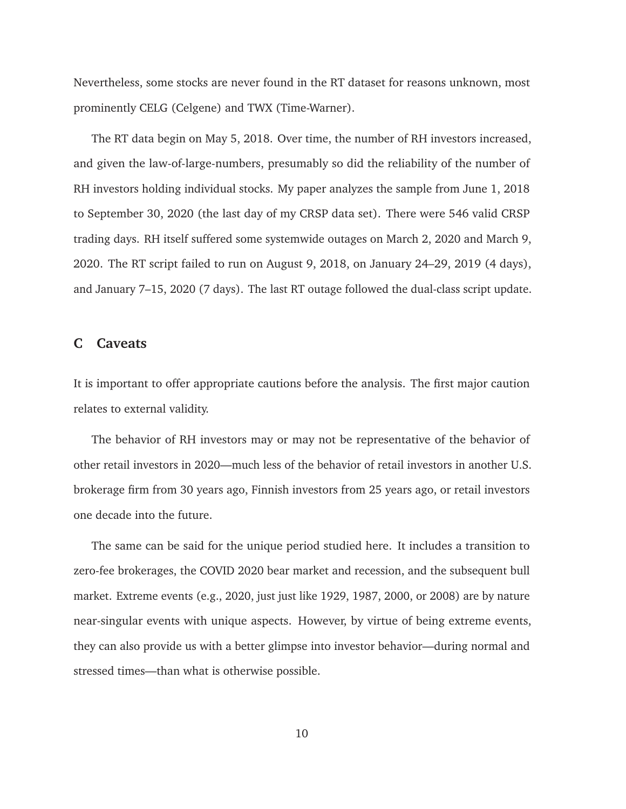Nevertheless, some stocks are never found in the RT dataset for reasons unknown, most prominently CELG (Celgene) and TWX (Time-Warner).

The RT data begin on May 5, 2018. Over time, the number of RH investors increased, and given the law-of-large-numbers, presumably so did the reliability of the number of RH investors holding individual stocks. My paper analyzes the sample from June 1, 2018 to September 30, 2020 (the last day of my CRSP data set). There were 546 valid CRSP trading days. RH itself suffered some systemwide outages on March 2, 2020 and March 9, 2020. The RT script failed to run on August 9, 2018, on January 24–29, 2019 (4 days), and January 7–15, 2020 (7 days). The last RT outage followed the dual-class script update.

## **C Caveats**

It is important to offer appropriate cautions before the analysis. The first major caution relates to external validity.

The behavior of RH investors may or may not be representative of the behavior of other retail investors in 2020—much less of the behavior of retail investors in another U.S. brokerage firm from 30 years ago, Finnish investors from 25 years ago, or retail investors one decade into the future.

The same can be said for the unique period studied here. It includes a transition to zero-fee brokerages, the COVID 2020 bear market and recession, and the subsequent bull market. Extreme events (e.g., 2020, just just like 1929, 1987, 2000, or 2008) are by nature near-singular events with unique aspects. However, by virtue of being extreme events, they can also provide us with a better glimpse into investor behavior—during normal and stressed times—than what is otherwise possible.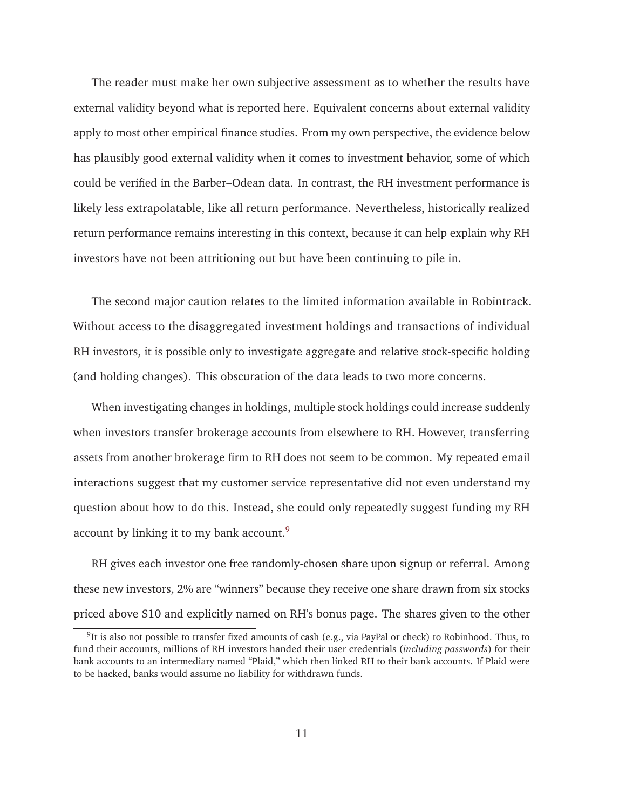The reader must make her own subjective assessment as to whether the results have external validity beyond what is reported here. Equivalent concerns about external validity apply to most other empirical finance studies. From my own perspective, the evidence below has plausibly good external validity when it comes to investment behavior, some of which could be verified in the Barber–Odean data. In contrast, the RH investment performance is likely less extrapolatable, like all return performance. Nevertheless, historically realized return performance remains interesting in this context, because it can help explain why RH investors have not been attritioning out but have been continuing to pile in.

The second major caution relates to the limited information available in Robintrack. Without access to the disaggregated investment holdings and transactions of individual RH investors, it is possible only to investigate aggregate and relative stock-specific holding (and holding changes). This obscuration of the data leads to two more concerns.

When investigating changes in holdings, multiple stock holdings could increase suddenly when investors transfer brokerage accounts from elsewhere to RH. However, transferring assets from another brokerage firm to RH does not seem to be common. My repeated email interactions suggest that my customer service representative did not even understand my question about how to do this. Instead, she could only repeatedly suggest funding my RH account by linking it to my bank account.<sup>9</sup>

RH gives each investor one free randomly-chosen share upon signup or referral. Among these new investors, 2% are "winners" because they receive one share drawn from six stocks priced above \$10 and explicitly named on RH's bonus page. The shares given to the other

<sup>&</sup>lt;sup>9</sup>It is also not possible to transfer fixed amounts of cash (e.g., via PayPal or check) to Robinhood. Thus, to fund their accounts, millions of RH investors handed their user credentials (*including passwords*) for their bank accounts to an intermediary named "Plaid," which then linked RH to their bank accounts. If Plaid were to be hacked, banks would assume no liability for withdrawn funds.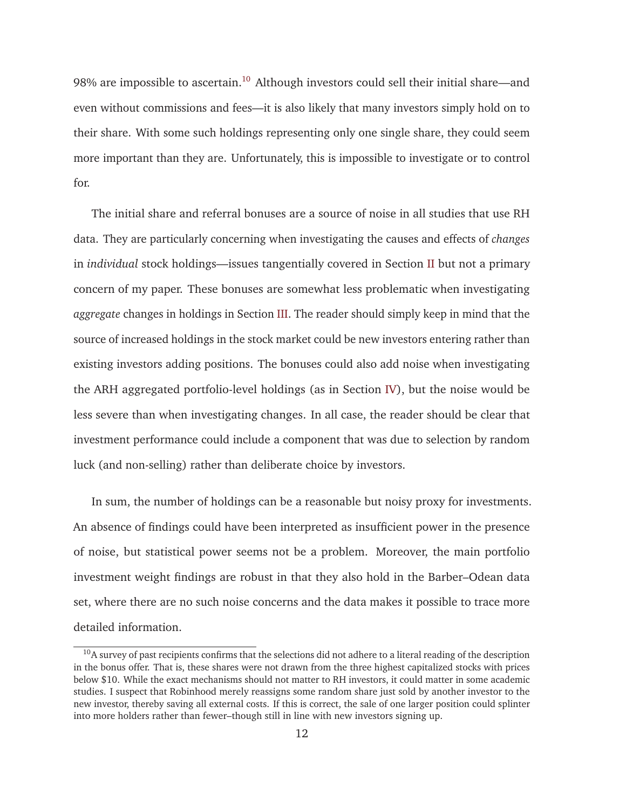98% are impossible to ascertain.<sup>10</sup> Although investors could sell their initial share—and even without commissions and fees—it is also likely that many investors simply hold on to their share. With some such holdings representing only one single share, they could seem more important than they are. Unfortunately, this is impossible to investigate or to control for.

The initial share and referral bonuses are a source of noise in all studies that use RH data. They are particularly concerning when investigating the causes and effects of *changes* in *individual* stock holdings—issues tangentially covered in Section II but not a primary concern of my paper. These bonuses are somewhat less problematic when investigating *aggregate* changes in holdings in Section III. The reader should simply keep in mind that the source of increased holdings in the stock market could be new investors entering rather than existing investors adding positions. The bonuses could also add noise when investigating the ARH aggregated portfolio-level holdings (as in Section IV), but the noise would be less severe than when investigating changes. In all case, the reader should be clear that investment performance could include a component that was due to selection by random luck (and non-selling) rather than deliberate choice by investors.

In sum, the number of holdings can be a reasonable but noisy proxy for investments. An absence of findings could have been interpreted as insufficient power in the presence of noise, but statistical power seems not be a problem. Moreover, the main portfolio investment weight findings are robust in that they also hold in the Barber–Odean data set, where there are no such noise concerns and the data makes it possible to trace more detailed information.

 $10$ A survey of past recipients confirms that the selections did not adhere to a literal reading of the description in the bonus offer. That is, these shares were not drawn from the three highest capitalized stocks with prices below \$10. While the exact mechanisms should not matter to RH investors, it could matter in some academic studies. I suspect that Robinhood merely reassigns some random share just sold by another investor to the new investor, thereby saving all external costs. If this is correct, the sale of one larger position could splinter into more holders rather than fewer–though still in line with new investors signing up.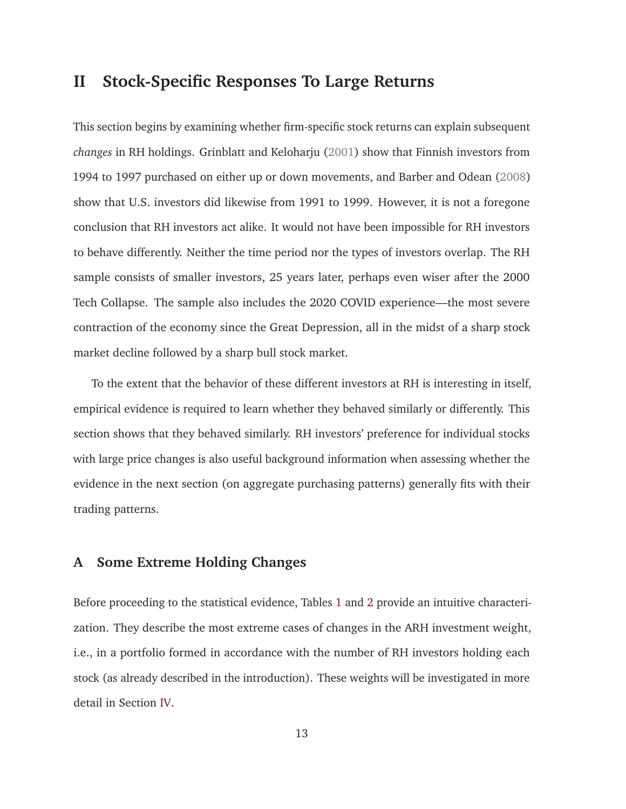# **II Stock-Specific Responses To Large Returns**

This section begins by examining whether firm-specific stock returns can explain subsequent *changes* in RH holdings. Grinblatt and Keloharju (2001) show that Finnish investors from 1994 to 1997 purchased on either up or down movements, and Barber and Odean (2008) show that U.S. investors did likewise from 1991 to 1999. However, it is not a foregone conclusion that RH investors act alike. It would not have been impossible for RH investors to behave differently. Neither the time period nor the types of investors overlap. The RH sample consists of smaller investors, 25 years later, perhaps even wiser after the 2000 Tech Collapse. The sample also includes the 2020 COVID experience—the most severe contraction of the economy since the Great Depression, all in the midst of a sharp stock market decline followed by a sharp bull stock market.

To the extent that the behavior of these different investors at RH is interesting in itself, empirical evidence is required to learn whether they behaved similarly or differently. This section shows that they behaved similarly. RH investors' preference for individual stocks with large price changes is also useful background information when assessing whether the evidence in the next section (on aggregate purchasing patterns) generally fits with their trading patterns.

## **A Some Extreme Holding Changes**

Before proceeding to the statistical evidence, Tables 1 and 2 provide an intuitive characterization. They describe the most extreme cases of changes in the ARH investment weight, i.e., in a portfolio formed in accordance with the number of RH investors holding each stock (as already described in the introduction). These weights will be investigated in more detail in Section IV.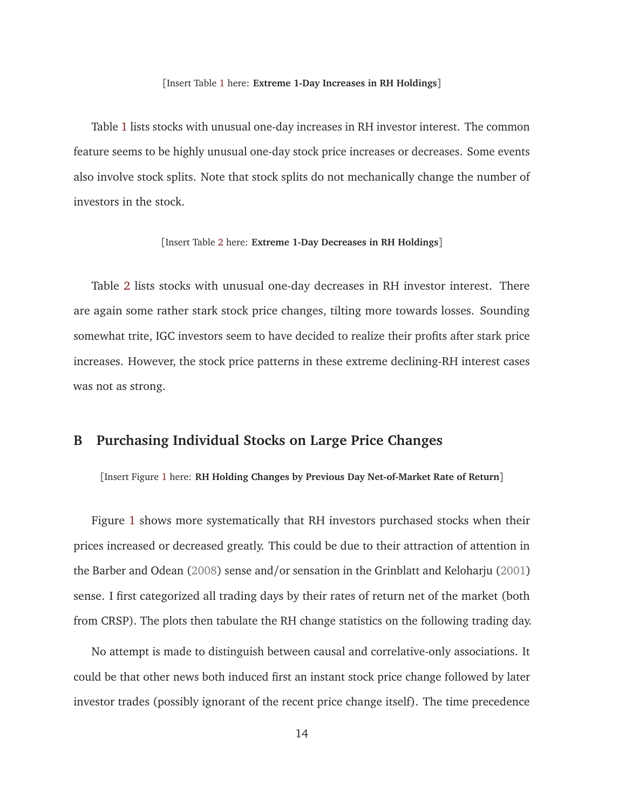#### [Insert Table 1 here: **Extreme 1-Day Increases in RH Holdings**]

Table 1 lists stocks with unusual one-day increases in RH investor interest. The common feature seems to be highly unusual one-day stock price increases or decreases. Some events also involve stock splits. Note that stock splits do not mechanically change the number of investors in the stock.

#### [Insert Table 2 here: **Extreme 1-Day Decreases in RH Holdings**]

Table 2 lists stocks with unusual one-day decreases in RH investor interest. There are again some rather stark stock price changes, tilting more towards losses. Sounding somewhat trite, IGC investors seem to have decided to realize their profits after stark price increases. However, the stock price patterns in these extreme declining-RH interest cases was not as strong.

# **B Purchasing Individual Stocks on Large Price Changes**

[Insert Figure 1 here: **RH Holding Changes by Previous Day Net-of-Market Rate of Return**]

Figure 1 shows more systematically that RH investors purchased stocks when their prices increased or decreased greatly. This could be due to their attraction of attention in the Barber and Odean (2008) sense and/or sensation in the Grinblatt and Keloharju (2001) sense. I first categorized all trading days by their rates of return net of the market (both from CRSP). The plots then tabulate the RH change statistics on the following trading day.

No attempt is made to distinguish between causal and correlative-only associations. It could be that other news both induced first an instant stock price change followed by later investor trades (possibly ignorant of the recent price change itself). The time precedence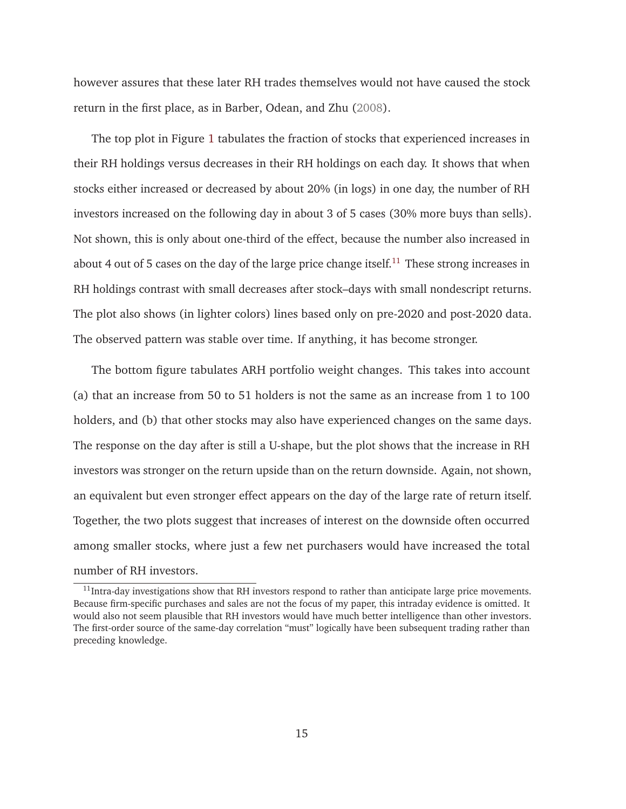however assures that these later RH trades themselves would not have caused the stock return in the first place, as in Barber, Odean, and Zhu (2008).

The top plot in Figure 1 tabulates the fraction of stocks that experienced increases in their RH holdings versus decreases in their RH holdings on each day. It shows that when stocks either increased or decreased by about 20% (in logs) in one day, the number of RH investors increased on the following day in about 3 of 5 cases (30% more buys than sells). Not shown, this is only about one-third of the effect, because the number also increased in about 4 out of 5 cases on the day of the large price change itself.<sup>11</sup> These strong increases in RH holdings contrast with small decreases after stock–days with small nondescript returns. The plot also shows (in lighter colors) lines based only on pre-2020 and post-2020 data. The observed pattern was stable over time. If anything, it has become stronger.

The bottom figure tabulates ARH portfolio weight changes. This takes into account (a) that an increase from 50 to 51 holders is not the same as an increase from 1 to 100 holders, and (b) that other stocks may also have experienced changes on the same days. The response on the day after is still a U-shape, but the plot shows that the increase in RH investors was stronger on the return upside than on the return downside. Again, not shown, an equivalent but even stronger effect appears on the day of the large rate of return itself. Together, the two plots suggest that increases of interest on the downside often occurred among smaller stocks, where just a few net purchasers would have increased the total number of RH investors.

 $11$ Intra-day investigations show that RH investors respond to rather than anticipate large price movements. Because firm-specific purchases and sales are not the focus of my paper, this intraday evidence is omitted. It would also not seem plausible that RH investors would have much better intelligence than other investors. The first-order source of the same-day correlation "must" logically have been subsequent trading rather than preceding knowledge.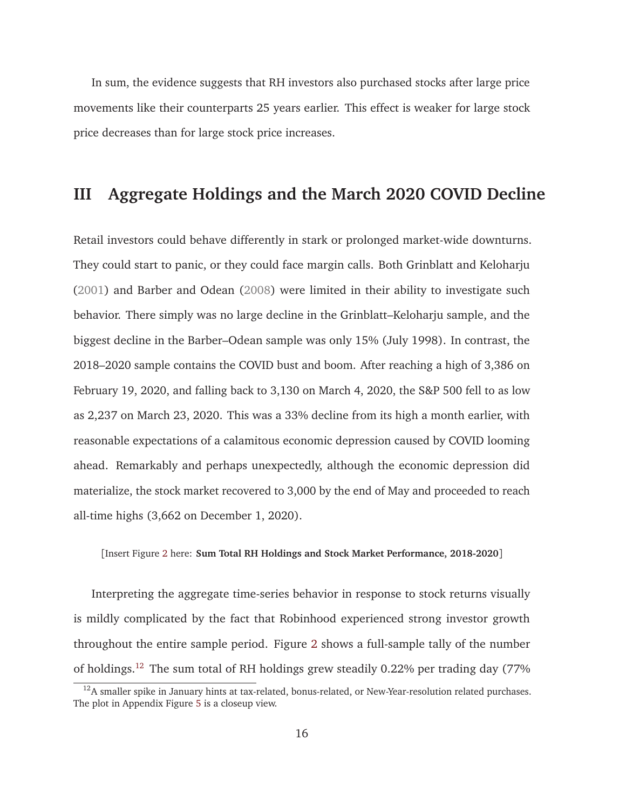In sum, the evidence suggests that RH investors also purchased stocks after large price movements like their counterparts 25 years earlier. This effect is weaker for large stock price decreases than for large stock price increases.

# **III Aggregate Holdings and the March 2020 COVID Decline**

Retail investors could behave differently in stark or prolonged market-wide downturns. They could start to panic, or they could face margin calls. Both Grinblatt and Keloharju (2001) and Barber and Odean (2008) were limited in their ability to investigate such behavior. There simply was no large decline in the Grinblatt–Keloharju sample, and the biggest decline in the Barber–Odean sample was only 15% (July 1998). In contrast, the 2018–2020 sample contains the COVID bust and boom. After reaching a high of 3,386 on February 19, 2020, and falling back to 3,130 on March 4, 2020, the S&P 500 fell to as low as 2,237 on March 23, 2020. This was a 33% decline from its high a month earlier, with reasonable expectations of a calamitous economic depression caused by COVID looming ahead. Remarkably and perhaps unexpectedly, although the economic depression did materialize, the stock market recovered to 3,000 by the end of May and proceeded to reach all-time highs (3,662 on December 1, 2020).

[Insert Figure 2 here: **Sum Total RH Holdings and Stock Market Performance, 2018-2020**]

Interpreting the aggregate time-series behavior in response to stock returns visually is mildly complicated by the fact that Robinhood experienced strong investor growth throughout the entire sample period. Figure 2 shows a full-sample tally of the number of holdings.<sup>12</sup> The sum total of RH holdings grew steadily 0.22% per trading day (77%

<sup>&</sup>lt;sup>12</sup>A smaller spike in January hints at tax-related, bonus-related, or New-Year-resolution related purchases. The plot in Appendix Figure 5 is a closeup view.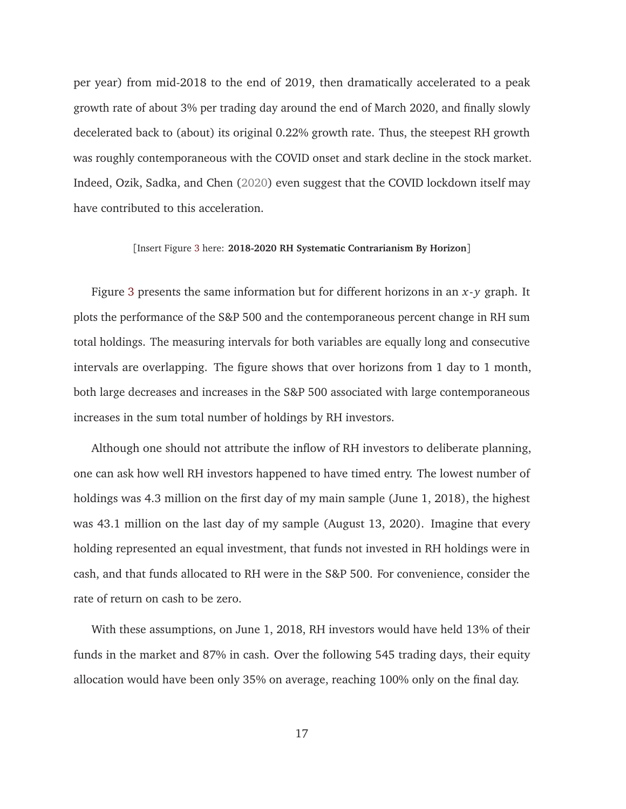per year) from mid-2018 to the end of 2019, then dramatically accelerated to a peak growth rate of about 3% per trading day around the end of March 2020, and finally slowly decelerated back to (about) its original 0.22% growth rate. Thus, the steepest RH growth was roughly contemporaneous with the COVID onset and stark decline in the stock market. Indeed, Ozik, Sadka, and Chen (2020) even suggest that the COVID lockdown itself may have contributed to this acceleration.

#### [Insert Figure 3 here: **2018-2020 RH Systematic Contrarianism By Horizon**]

Figure 3 presents the same information but for different horizons in an *x*- *y* graph. It plots the performance of the S&P 500 and the contemporaneous percent change in RH sum total holdings. The measuring intervals for both variables are equally long and consecutive intervals are overlapping. The figure shows that over horizons from 1 day to 1 month, both large decreases and increases in the S&P 500 associated with large contemporaneous increases in the sum total number of holdings by RH investors.

Although one should not attribute the inflow of RH investors to deliberate planning, one can ask how well RH investors happened to have timed entry. The lowest number of holdings was 4.3 million on the first day of my main sample (June 1, 2018), the highest was 43.1 million on the last day of my sample (August 13, 2020). Imagine that every holding represented an equal investment, that funds not invested in RH holdings were in cash, and that funds allocated to RH were in the S&P 500. For convenience, consider the rate of return on cash to be zero.

With these assumptions, on June 1, 2018, RH investors would have held 13% of their funds in the market and 87% in cash. Over the following 545 trading days, their equity allocation would have been only 35% on average, reaching 100% only on the final day.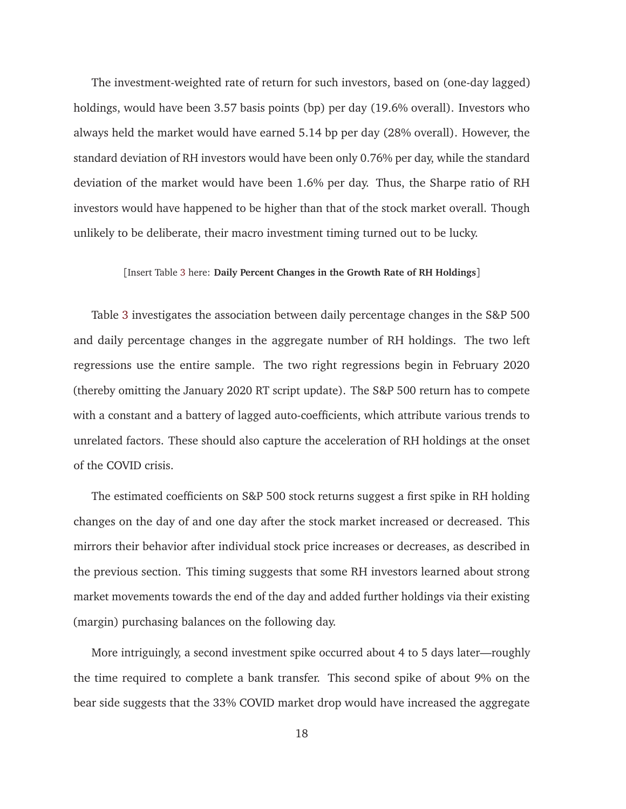The investment-weighted rate of return for such investors, based on (one-day lagged) holdings, would have been 3.57 basis points (bp) per day (19.6% overall). Investors who always held the market would have earned 5.14 bp per day (28% overall). However, the standard deviation of RH investors would have been only 0.76% per day, while the standard deviation of the market would have been 1.6% per day. Thus, the Sharpe ratio of RH investors would have happened to be higher than that of the stock market overall. Though unlikely to be deliberate, their macro investment timing turned out to be lucky.

#### [Insert Table 3 here: **Daily Percent Changes in the Growth Rate of RH Holdings**]

Table 3 investigates the association between daily percentage changes in the S&P 500 and daily percentage changes in the aggregate number of RH holdings. The two left regressions use the entire sample. The two right regressions begin in February 2020 (thereby omitting the January 2020 RT script update). The S&P 500 return has to compete with a constant and a battery of lagged auto-coefficients, which attribute various trends to unrelated factors. These should also capture the acceleration of RH holdings at the onset of the COVID crisis.

The estimated coefficients on S&P 500 stock returns suggest a first spike in RH holding changes on the day of and one day after the stock market increased or decreased. This mirrors their behavior after individual stock price increases or decreases, as described in the previous section. This timing suggests that some RH investors learned about strong market movements towards the end of the day and added further holdings via their existing (margin) purchasing balances on the following day.

More intriguingly, a second investment spike occurred about 4 to 5 days later—roughly the time required to complete a bank transfer. This second spike of about 9% on the bear side suggests that the 33% COVID market drop would have increased the aggregate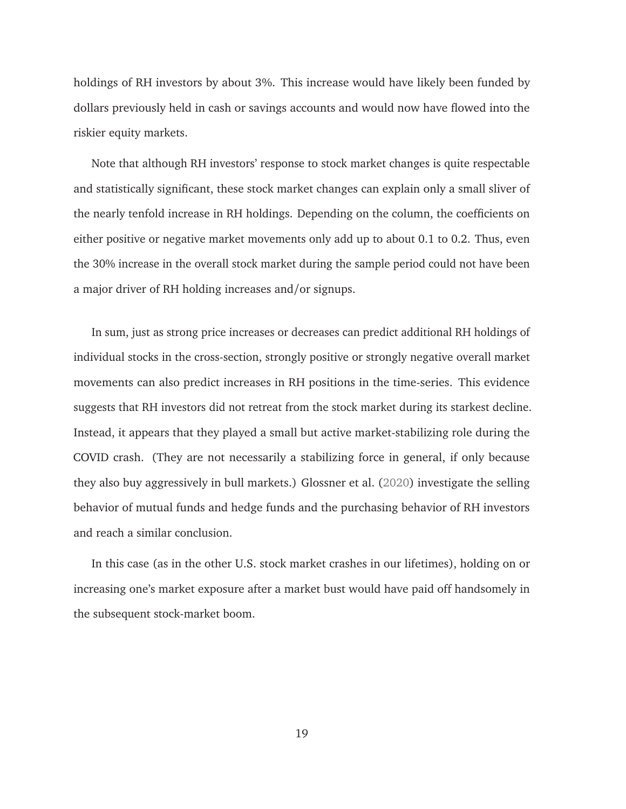holdings of RH investors by about 3%. This increase would have likely been funded by dollars previously held in cash or savings accounts and would now have flowed into the riskier equity markets.

Note that although RH investors' response to stock market changes is quite respectable and statistically significant, these stock market changes can explain only a small sliver of the nearly tenfold increase in RH holdings. Depending on the column, the coefficients on either positive or negative market movements only add up to about 0.1 to 0.2. Thus, even the 30% increase in the overall stock market during the sample period could not have been a major driver of RH holding increases and/or signups.

In sum, just as strong price increases or decreases can predict additional RH holdings of individual stocks in the cross-section, strongly positive or strongly negative overall market movements can also predict increases in RH positions in the time-series. This evidence suggests that RH investors did not retreat from the stock market during its starkest decline. Instead, it appears that they played a small but active market-stabilizing role during the COVID crash. (They are not necessarily a stabilizing force in general, if only because they also buy aggressively in bull markets.) Glossner et al. (2020) investigate the selling behavior of mutual funds and hedge funds and the purchasing behavior of RH investors and reach a similar conclusion.

In this case (as in the other U.S. stock market crashes in our lifetimes), holding on or increasing one's market exposure after a market bust would have paid off handsomely in the subsequent stock-market boom.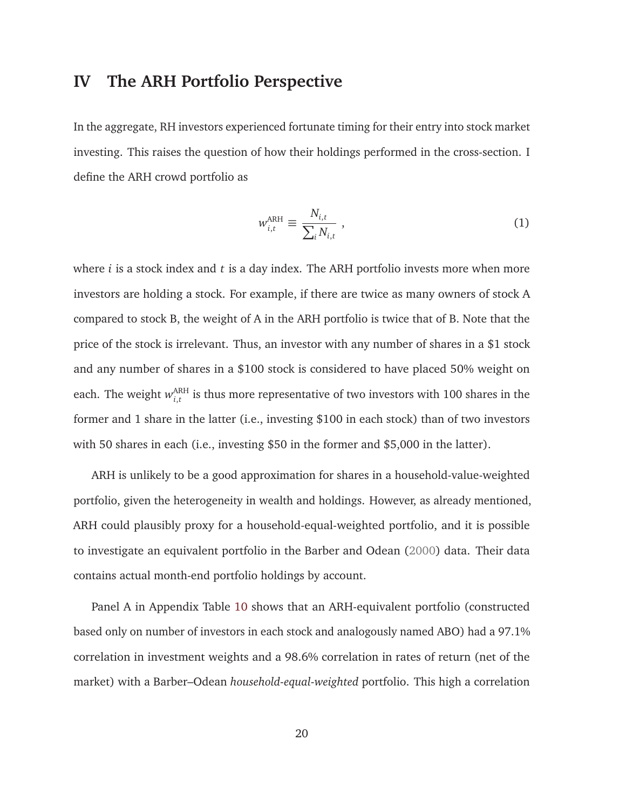# **IV The ARH Portfolio Perspective**

In the aggregate, RH investors experienced fortunate timing for their entry into stock market investing. This raises the question of how their holdings performed in the cross-section. I define the ARH crowd portfolio as

$$
w_{i,t}^{\text{ARH}} \equiv \frac{N_{i,t}}{\sum_{i} N_{i,t}} \tag{1}
$$

where *i* is a stock index and *t* is a day index. The ARH portfolio invests more when more investors are holding a stock. For example, if there are twice as many owners of stock A compared to stock B, the weight of A in the ARH portfolio is twice that of B. Note that the price of the stock is irrelevant. Thus, an investor with any number of shares in a \$1 stock and any number of shares in a \$100 stock is considered to have placed 50% weight on each. The weight  $w_{i,t}^{\text{ARH}}$  $\sum_{i,t}^{ARH}$  is thus more representative of two investors with 100 shares in the former and 1 share in the latter (i.e., investing \$100 in each stock) than of two investors with 50 shares in each (i.e., investing \$50 in the former and \$5,000 in the latter).

ARH is unlikely to be a good approximation for shares in a household-value-weighted portfolio, given the heterogeneity in wealth and holdings. However, as already mentioned, ARH could plausibly proxy for a household-equal-weighted portfolio, and it is possible to investigate an equivalent portfolio in the Barber and Odean (2000) data. Their data contains actual month-end portfolio holdings by account.

Panel A in Appendix Table 10 shows that an ARH-equivalent portfolio (constructed based only on number of investors in each stock and analogously named ABO) had a 97.1% correlation in investment weights and a 98.6% correlation in rates of return (net of the market) with a Barber–Odean *household-equal-weighted* portfolio. This high a correlation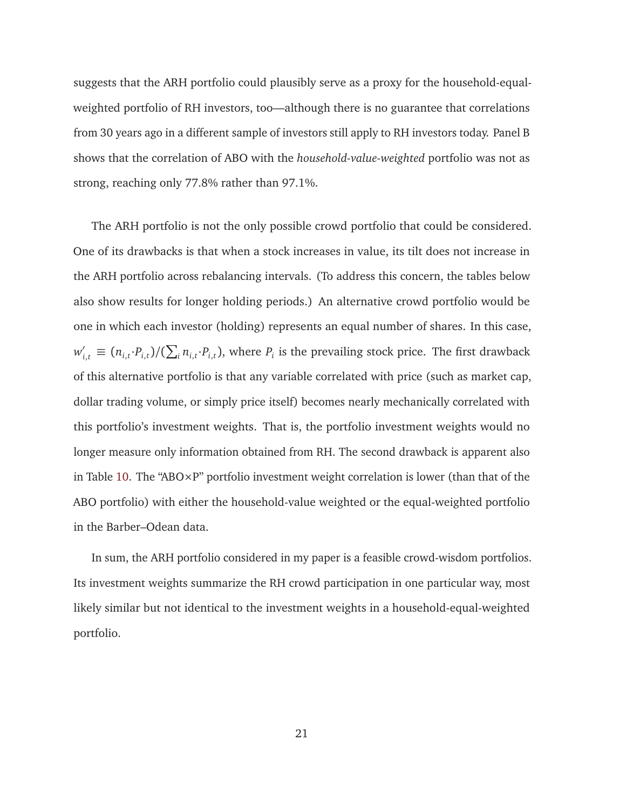suggests that the ARH portfolio could plausibly serve as a proxy for the household-equalweighted portfolio of RH investors, too—although there is no guarantee that correlations from 30 years ago in a different sample of investors still apply to RH investors today. Panel B shows that the correlation of ABO with the *household-value-weighted* portfolio was not as strong, reaching only 77.8% rather than 97.1%.

The ARH portfolio is not the only possible crowd portfolio that could be considered. One of its drawbacks is that when a stock increases in value, its tilt does not increase in the ARH portfolio across rebalancing intervals. (To address this concern, the tables below also show results for longer holding periods.) An alternative crowd portfolio would be one in which each investor (holding) represents an equal number of shares. In this case,  $w'_{i,t} \equiv (n_{i,t} \cdot P_{i,t})/(\sum_i n_{i,t} \cdot P_{i,t})$ , where  $P_i$  is the prevailing stock price. The first drawback of this alternative portfolio is that any variable correlated with price (such as market cap, dollar trading volume, or simply price itself) becomes nearly mechanically correlated with this portfolio's investment weights. That is, the portfolio investment weights would no longer measure only information obtained from RH. The second drawback is apparent also in Table 10. The "ABO $\times$ P" portfolio investment weight correlation is lower (than that of the ABO portfolio) with either the household-value weighted or the equal-weighted portfolio in the Barber–Odean data.

In sum, the ARH portfolio considered in my paper is a feasible crowd-wisdom portfolios. Its investment weights summarize the RH crowd participation in one particular way, most likely similar but not identical to the investment weights in a household-equal-weighted portfolio.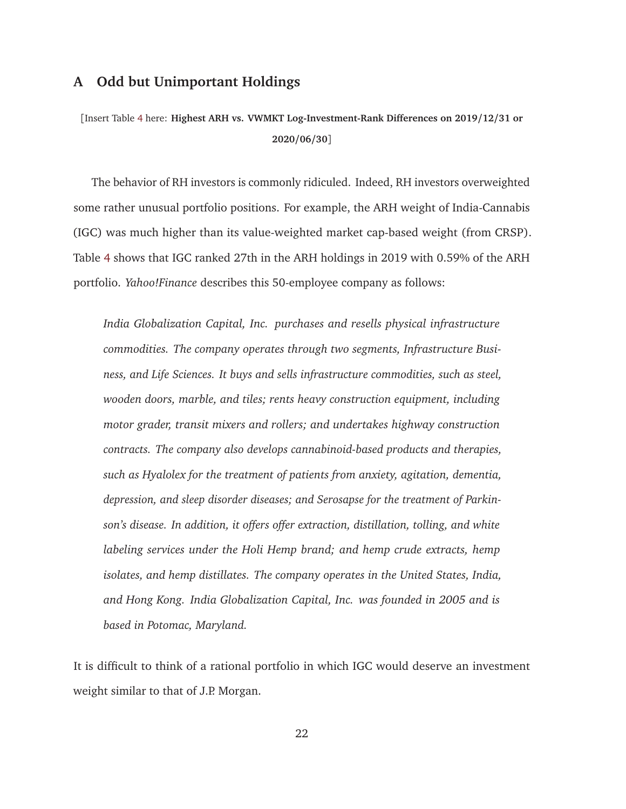# **A Odd but Unimportant Holdings**

[Insert Table 4 here: **Highest ARH vs. VWMKT Log-Investment-Rank Differences on 2019/12/31 or 2020/06/30**]

The behavior of RH investors is commonly ridiculed. Indeed, RH investors overweighted some rather unusual portfolio positions. For example, the ARH weight of India-Cannabis (IGC) was much higher than its value-weighted market cap-based weight (from CRSP). Table 4 shows that IGC ranked 27th in the ARH holdings in 2019 with 0.59% of the ARH portfolio. *Yahoo!Finance* describes this 50-employee company as follows:

*India Globalization Capital, Inc. purchases and resells physical infrastructure commodities. The company operates through two segments, Infrastructure Business, and Life Sciences. It buys and sells infrastructure commodities, such as steel, wooden doors, marble, and tiles; rents heavy construction equipment, including motor grader, transit mixers and rollers; and undertakes highway construction contracts. The company also develops cannabinoid-based products and therapies, such as Hyalolex for the treatment of patients from anxiety, agitation, dementia, depression, and sleep disorder diseases; and Serosapse for the treatment of Parkinson's disease. In addition, it offers offer extraction, distillation, tolling, and white labeling services under the Holi Hemp brand; and hemp crude extracts, hemp isolates, and hemp distillates. The company operates in the United States, India, and Hong Kong. India Globalization Capital, Inc. was founded in 2005 and is based in Potomac, Maryland.*

It is difficult to think of a rational portfolio in which IGC would deserve an investment weight similar to that of J.P. Morgan.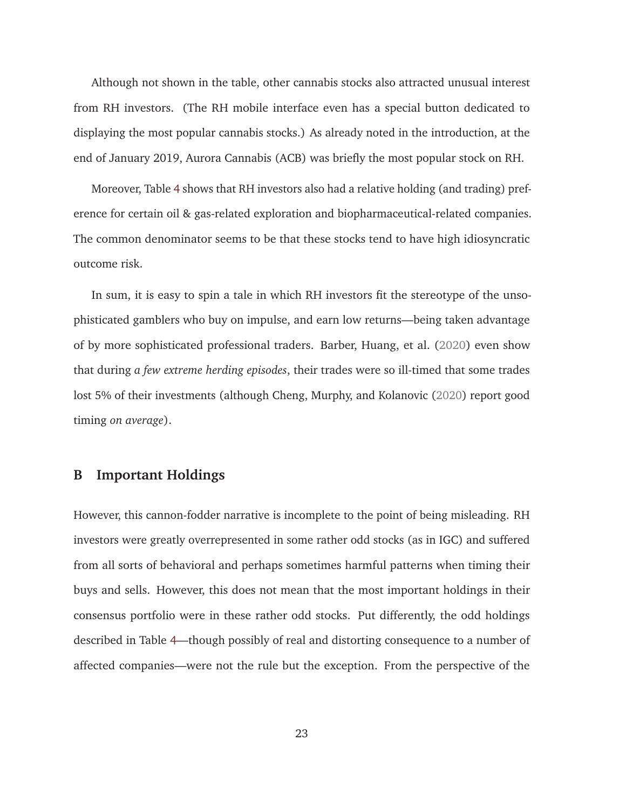Although not shown in the table, other cannabis stocks also attracted unusual interest from RH investors. (The RH mobile interface even has a special button dedicated to displaying the most popular cannabis stocks.) As already noted in the introduction, at the end of January 2019, Aurora Cannabis (ACB) was briefly the most popular stock on RH.

Moreover, Table 4 shows that RH investors also had a relative holding (and trading) preference for certain oil & gas-related exploration and biopharmaceutical-related companies. The common denominator seems to be that these stocks tend to have high idiosyncratic outcome risk.

In sum, it is easy to spin a tale in which RH investors fit the stereotype of the unsophisticated gamblers who buy on impulse, and earn low returns—being taken advantage of by more sophisticated professional traders. Barber, Huang, et al. (2020) even show that during *a few extreme herding episodes*, their trades were so ill-timed that some trades lost 5% of their investments (although Cheng, Murphy, and Kolanovic (2020) report good timing *on average*).

# **B Important Holdings**

However, this cannon-fodder narrative is incomplete to the point of being misleading. RH investors were greatly overrepresented in some rather odd stocks (as in IGC) and suffered from all sorts of behavioral and perhaps sometimes harmful patterns when timing their buys and sells. However, this does not mean that the most important holdings in their consensus portfolio were in these rather odd stocks. Put differently, the odd holdings described in Table 4—though possibly of real and distorting consequence to a number of affected companies—were not the rule but the exception. From the perspective of the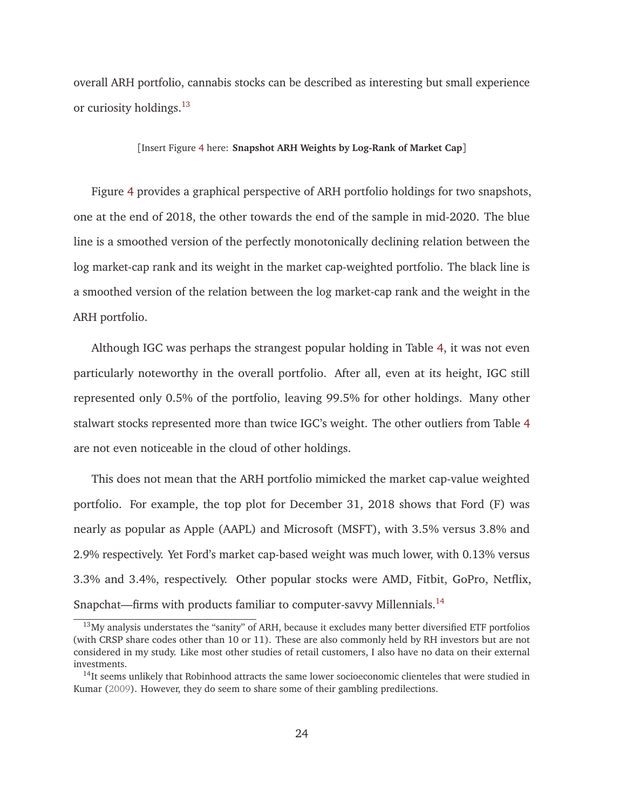overall ARH portfolio, cannabis stocks can be described as interesting but small experience or curiosity holdings.<sup>13</sup>

[Insert Figure 4 here: **Snapshot ARH Weights by Log-Rank of Market Cap**]

Figure 4 provides a graphical perspective of ARH portfolio holdings for two snapshots, one at the end of 2018, the other towards the end of the sample in mid-2020. The blue line is a smoothed version of the perfectly monotonically declining relation between the log market-cap rank and its weight in the market cap-weighted portfolio. The black line is a smoothed version of the relation between the log market-cap rank and the weight in the ARH portfolio.

Although IGC was perhaps the strangest popular holding in Table 4, it was not even particularly noteworthy in the overall portfolio. After all, even at its height, IGC still represented only 0.5% of the portfolio, leaving 99.5% for other holdings. Many other stalwart stocks represented more than twice IGC's weight. The other outliers from Table 4 are not even noticeable in the cloud of other holdings.

This does not mean that the ARH portfolio mimicked the market cap-value weighted portfolio. For example, the top plot for December 31, 2018 shows that Ford (F) was nearly as popular as Apple (AAPL) and Microsoft (MSFT), with 3.5% versus 3.8% and 2.9% respectively. Yet Ford's market cap-based weight was much lower, with 0.13% versus 3.3% and 3.4%, respectively. Other popular stocks were AMD, Fitbit, GoPro, Netflix, Snapchat—firms with products familiar to computer-savvy Millennials.<sup>14</sup>

<sup>&</sup>lt;sup>13</sup>My analysis understates the "sanity" of ARH, because it excludes many better diversified ETF portfolios (with CRSP share codes other than 10 or 11). These are also commonly held by RH investors but are not considered in my study. Like most other studies of retail customers, I also have no data on their external investments.

 $14$ It seems unlikely that Robinhood attracts the same lower socioeconomic clienteles that were studied in Kumar (2009). However, they do seem to share some of their gambling predilections.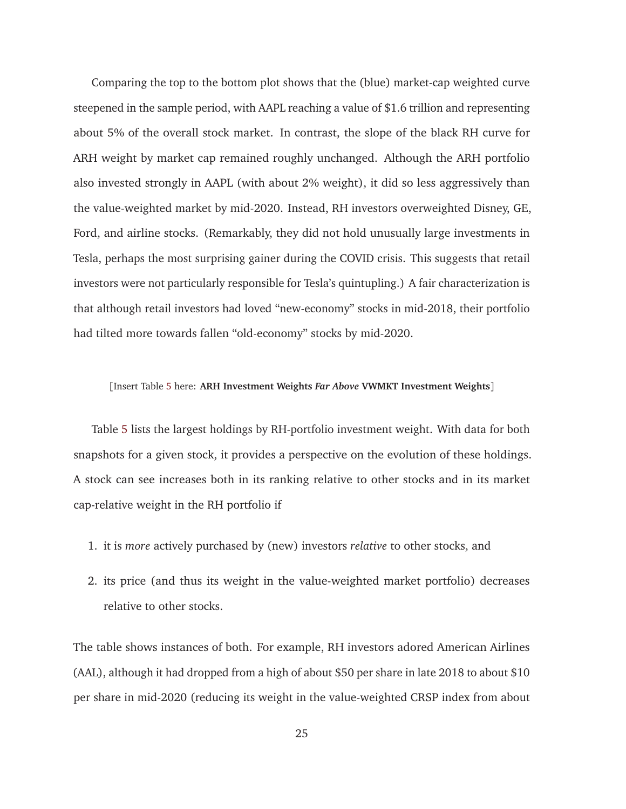Comparing the top to the bottom plot shows that the (blue) market-cap weighted curve steepened in the sample period, with AAPL reaching a value of \$1.6 trillion and representing about 5% of the overall stock market. In contrast, the slope of the black RH curve for ARH weight by market cap remained roughly unchanged. Although the ARH portfolio also invested strongly in AAPL (with about 2% weight), it did so less aggressively than the value-weighted market by mid-2020. Instead, RH investors overweighted Disney, GE, Ford, and airline stocks. (Remarkably, they did not hold unusually large investments in Tesla, perhaps the most surprising gainer during the COVID crisis. This suggests that retail investors were not particularly responsible for Tesla's quintupling.) A fair characterization is that although retail investors had loved "new-economy" stocks in mid-2018, their portfolio had tilted more towards fallen "old-economy" stocks by mid-2020.

#### [Insert Table 5 here: **ARH Investment Weights** *Far Above* **VWMKT Investment Weights**]

Table 5 lists the largest holdings by RH-portfolio investment weight. With data for both snapshots for a given stock, it provides a perspective on the evolution of these holdings. A stock can see increases both in its ranking relative to other stocks and in its market cap-relative weight in the RH portfolio if

- 1. it is *more* actively purchased by (new) investors *relative* to other stocks, and
- 2. its price (and thus its weight in the value-weighted market portfolio) decreases relative to other stocks.

The table shows instances of both. For example, RH investors adored American Airlines (AAL), although it had dropped from a high of about \$50 per share in late 2018 to about \$10 per share in mid-2020 (reducing its weight in the value-weighted CRSP index from about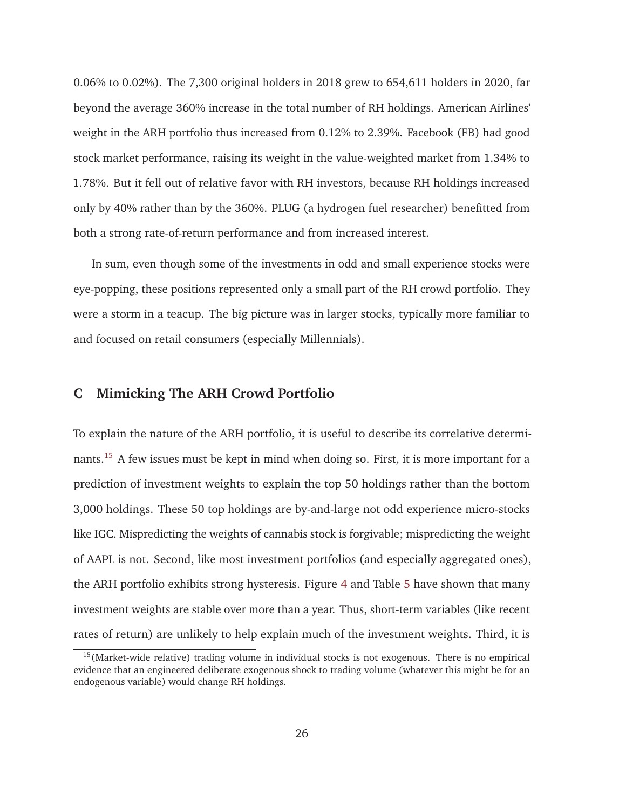0.06% to 0.02%). The 7,300 original holders in 2018 grew to 654,611 holders in 2020, far beyond the average 360% increase in the total number of RH holdings. American Airlines' weight in the ARH portfolio thus increased from 0.12% to 2.39%. Facebook (FB) had good stock market performance, raising its weight in the value-weighted market from 1.34% to 1.78%. But it fell out of relative favor with RH investors, because RH holdings increased only by 40% rather than by the 360%. PLUG (a hydrogen fuel researcher) benefitted from both a strong rate-of-return performance and from increased interest.

In sum, even though some of the investments in odd and small experience stocks were eye-popping, these positions represented only a small part of the RH crowd portfolio. They were a storm in a teacup. The big picture was in larger stocks, typically more familiar to and focused on retail consumers (especially Millennials).

# **C Mimicking The ARH Crowd Portfolio**

To explain the nature of the ARH portfolio, it is useful to describe its correlative determinants.<sup>15</sup> A few issues must be kept in mind when doing so. First, it is more important for a prediction of investment weights to explain the top 50 holdings rather than the bottom 3,000 holdings. These 50 top holdings are by-and-large not odd experience micro-stocks like IGC. Mispredicting the weights of cannabis stock is forgivable; mispredicting the weight of AAPL is not. Second, like most investment portfolios (and especially aggregated ones), the ARH portfolio exhibits strong hysteresis. Figure 4 and Table 5 have shown that many investment weights are stable over more than a year. Thus, short-term variables (like recent rates of return) are unlikely to help explain much of the investment weights. Third, it is

 $15$ (Market-wide relative) trading volume in individual stocks is not exogenous. There is no empirical evidence that an engineered deliberate exogenous shock to trading volume (whatever this might be for an endogenous variable) would change RH holdings.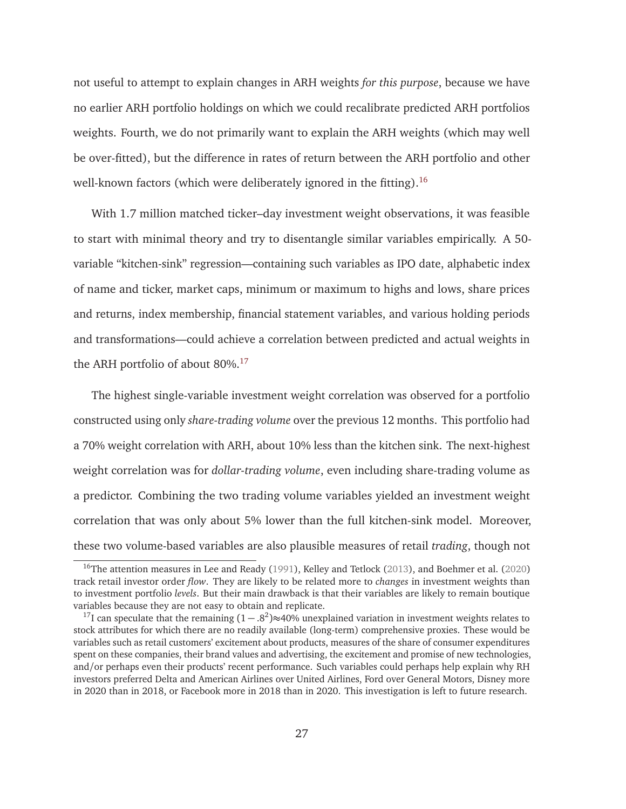not useful to attempt to explain changes in ARH weights *for this purpose*, because we have no earlier ARH portfolio holdings on which we could recalibrate predicted ARH portfolios weights. Fourth, we do not primarily want to explain the ARH weights (which may well be over-fitted), but the difference in rates of return between the ARH portfolio and other well-known factors (which were deliberately ignored in the fitting).<sup>16</sup>

With 1.7 million matched ticker–day investment weight observations, it was feasible to start with minimal theory and try to disentangle similar variables empirically. A 50 variable "kitchen-sink" regression—containing such variables as IPO date, alphabetic index of name and ticker, market caps, minimum or maximum to highs and lows, share prices and returns, index membership, financial statement variables, and various holding periods and transformations—could achieve a correlation between predicted and actual weights in the ARH portfolio of about 80%.<sup>17</sup>

The highest single-variable investment weight correlation was observed for a portfolio constructed using only *share-trading volume* over the previous 12 months. This portfolio had a 70% weight correlation with ARH, about 10% less than the kitchen sink. The next-highest weight correlation was for *dollar-trading volume*, even including share-trading volume as a predictor. Combining the two trading volume variables yielded an investment weight correlation that was only about 5% lower than the full kitchen-sink model. Moreover, these two volume-based variables are also plausible measures of retail *trading*, though not

<sup>&</sup>lt;sup>16</sup>The attention measures in Lee and Ready (1991), Kelley and Tetlock (2013), and Boehmer et al. (2020) track retail investor order *flow*. They are likely to be related more to *changes* in investment weights than to investment portfolio *levels*. But their main drawback is that their variables are likely to remain boutique variables because they are not easy to obtain and replicate.

<sup>&</sup>lt;sup>17</sup>I can speculate that the remaining  $(1 - .8^2) \approx 40\%$  unexplained variation in investment weights relates to stock attributes for which there are no readily available (long-term) comprehensive proxies. These would be variables such as retail customers' excitement about products, measures of the share of consumer expenditures spent on these companies, their brand values and advertising, the excitement and promise of new technologies, and/or perhaps even their products' recent performance. Such variables could perhaps help explain why RH investors preferred Delta and American Airlines over United Airlines, Ford over General Motors, Disney more in 2020 than in 2018, or Facebook more in 2018 than in 2020. This investigation is left to future research.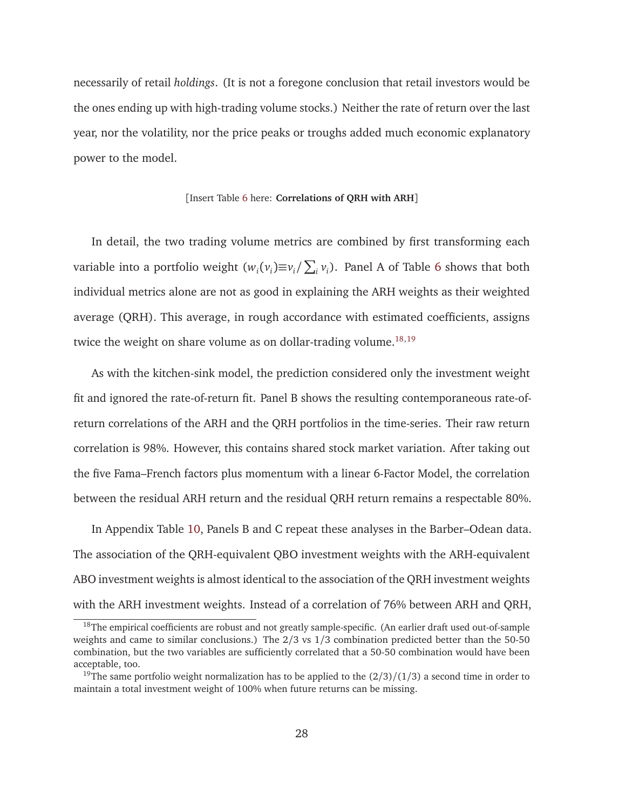necessarily of retail *holdings*. (It is not a foregone conclusion that retail investors would be the ones ending up with high-trading volume stocks.) Neither the rate of return over the last year, nor the volatility, nor the price peaks or troughs added much economic explanatory power to the model.

#### [Insert Table 6 here: **Correlations of QRH with ARH**]

In detail, the two trading volume metrics are combined by first transforming each variable into a portfolio weight  $(w_i(v_i) \equiv v_i / \sum_i v_i)$ . Panel A of Table 6 shows that both individual metrics alone are not as good in explaining the ARH weights as their weighted average (QRH). This average, in rough accordance with estimated coefficients, assigns twice the weight on share volume as on dollar-trading volume.<sup>18,19</sup>

As with the kitchen-sink model, the prediction considered only the investment weight fit and ignored the rate-of-return fit. Panel B shows the resulting contemporaneous rate-ofreturn correlations of the ARH and the QRH portfolios in the time-series. Their raw return correlation is 98%. However, this contains shared stock market variation. After taking out the five Fama–French factors plus momentum with a linear 6-Factor Model, the correlation between the residual ARH return and the residual QRH return remains a respectable 80%.

In Appendix Table 10, Panels B and C repeat these analyses in the Barber–Odean data. The association of the QRH-equivalent QBO investment weights with the ARH-equivalent ABO investment weights is almost identical to the association of the QRH investment weights with the ARH investment weights. Instead of a correlation of 76% between ARH and QRH,

<sup>&</sup>lt;sup>18</sup>The empirical coefficients are robust and not greatly sample-specific. (An earlier draft used out-of-sample weights and came to similar conclusions.) The 2/3 vs 1/3 combination predicted better than the 50-50 combination, but the two variables are sufficiently correlated that a 50-50 combination would have been acceptable, too.

<sup>&</sup>lt;sup>19</sup>The same portfolio weight normalization has to be applied to the  $\frac{2}{3}\cdot\frac{1}{3}$  a second time in order to maintain a total investment weight of 100% when future returns can be missing.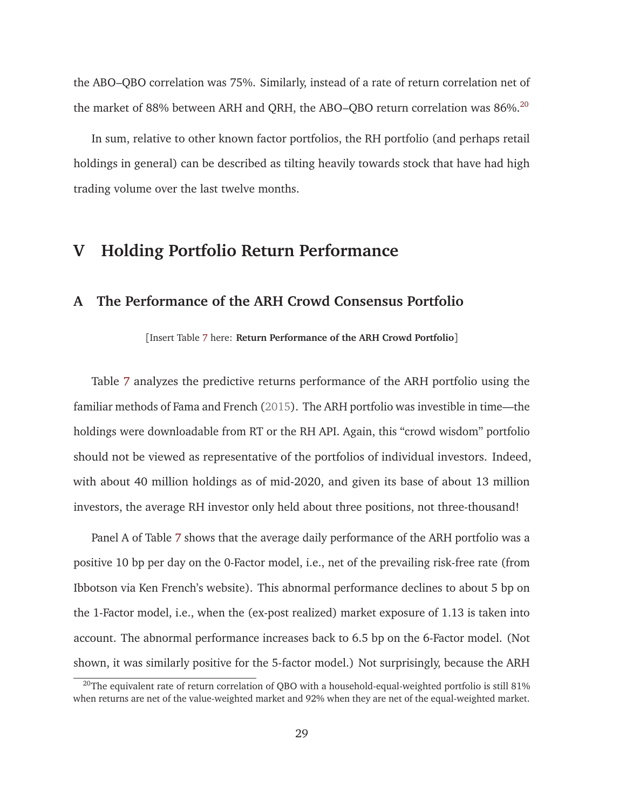the ABO–QBO correlation was 75%. Similarly, instead of a rate of return correlation net of the market of 88% between ARH and QRH, the ABO–QBO return correlation was  $86\%$ <sup>20</sup>

In sum, relative to other known factor portfolios, the RH portfolio (and perhaps retail holdings in general) can be described as tilting heavily towards stock that have had high trading volume over the last twelve months.

# **V Holding Portfolio Return Performance**

# **A The Performance of the ARH Crowd Consensus Portfolio**

[Insert Table 7 here: **Return Performance of the ARH Crowd Portfolio**]

Table 7 analyzes the predictive returns performance of the ARH portfolio using the familiar methods of Fama and French (2015). The ARH portfolio was investible in time—the holdings were downloadable from RT or the RH API. Again, this "crowd wisdom" portfolio should not be viewed as representative of the portfolios of individual investors. Indeed, with about 40 million holdings as of mid-2020, and given its base of about 13 million investors, the average RH investor only held about three positions, not three-thousand!

Panel A of Table 7 shows that the average daily performance of the ARH portfolio was a positive 10 bp per day on the 0-Factor model, i.e., net of the prevailing risk-free rate (from Ibbotson via Ken French's website). This abnormal performance declines to about 5 bp on the 1-Factor model, i.e., when the (ex-post realized) market exposure of 1.13 is taken into account. The abnormal performance increases back to 6.5 bp on the 6-Factor model. (Not shown, it was similarly positive for the 5-factor model.) Not surprisingly, because the ARH

 $^{20}$ The equivalent rate of return correlation of QBO with a household-equal-weighted portfolio is still 81% when returns are net of the value-weighted market and 92% when they are net of the equal-weighted market.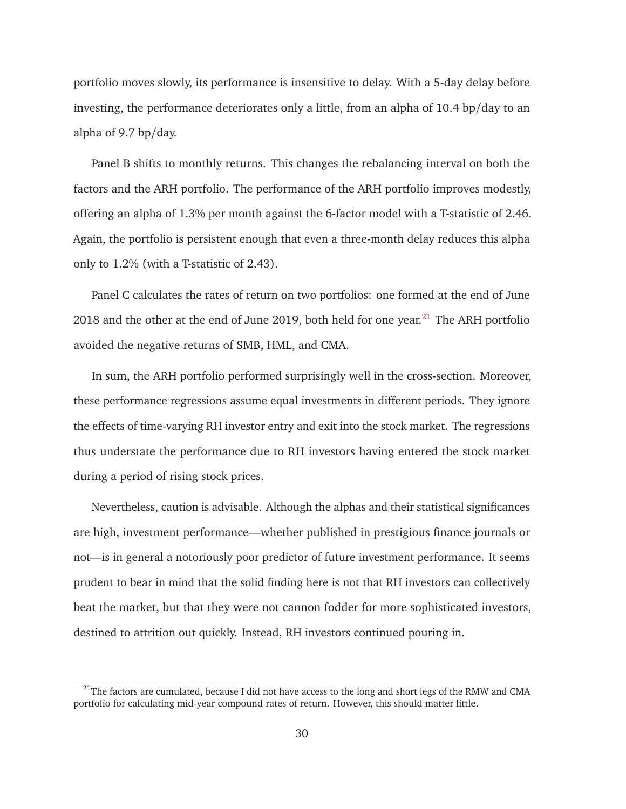portfolio moves slowly, its performance is insensitive to delay. With a 5-day delay before investing, the performance deteriorates only a little, from an alpha of 10.4 bp/day to an alpha of 9.7 bp/day.

Panel B shifts to monthly returns. This changes the rebalancing interval on both the factors and the ARH portfolio. The performance of the ARH portfolio improves modestly, offering an alpha of 1.3% per month against the 6-factor model with a T-statistic of 2.46. Again, the portfolio is persistent enough that even a three-month delay reduces this alpha only to 1.2% (with a T-statistic of 2.43).

Panel C calculates the rates of return on two portfolios: one formed at the end of June 2018 and the other at the end of June 2019, both held for one year.<sup>21</sup> The ARH portfolio avoided the negative returns of SMB, HML, and CMA.

In sum, the ARH portfolio performed surprisingly well in the cross-section. Moreover, these performance regressions assume equal investments in different periods. They ignore the effects of time-varying RH investor entry and exit into the stock market. The regressions thus understate the performance due to RH investors having entered the stock market during a period of rising stock prices.

Nevertheless, caution is advisable. Although the alphas and their statistical significances are high, investment performance—whether published in prestigious finance journals or not—is in general a notoriously poor predictor of future investment performance. It seems prudent to bear in mind that the solid finding here is not that RH investors can collectively beat the market, but that they were not cannon fodder for more sophisticated investors, destined to attrition out quickly. Instead, RH investors continued pouring in.

<sup>&</sup>lt;sup>21</sup>The factors are cumulated, because I did not have access to the long and short legs of the RMW and CMA portfolio for calculating mid-year compound rates of return. However, this should matter little.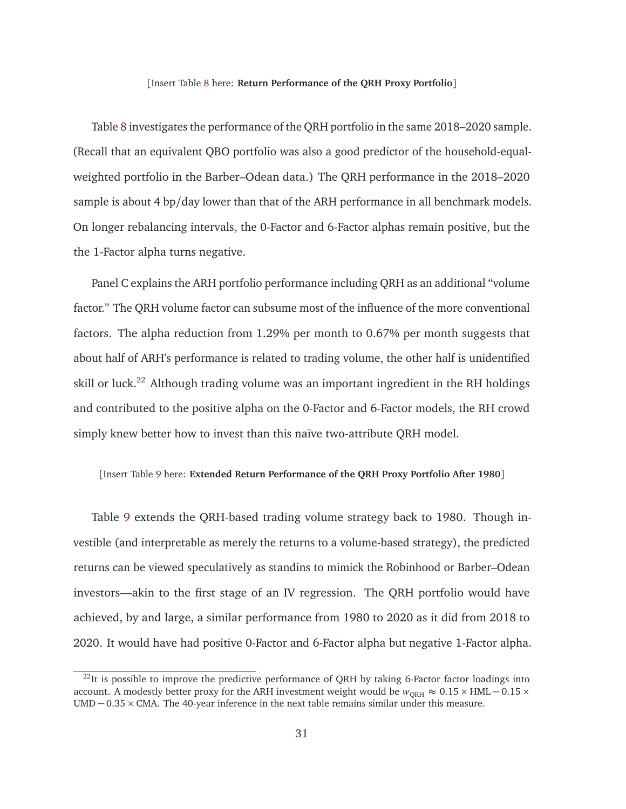#### [Insert Table 8 here: **Return Performance of the QRH Proxy Portfolio**]

Table 8 investigates the performance of the QRH portfolio in the same 2018–2020 sample. (Recall that an equivalent QBO portfolio was also a good predictor of the household-equalweighted portfolio in the Barber–Odean data.) The QRH performance in the 2018–2020 sample is about 4 bp/day lower than that of the ARH performance in all benchmark models. On longer rebalancing intervals, the 0-Factor and 6-Factor alphas remain positive, but the the 1-Factor alpha turns negative.

Panel C explains the ARH portfolio performance including QRH as an additional "volume factor." The QRH volume factor can subsume most of the influence of the more conventional factors. The alpha reduction from 1.29% per month to 0.67% per month suggests that about half of ARH's performance is related to trading volume, the other half is unidentified skill or luck.<sup>22</sup> Although trading volume was an important ingredient in the RH holdings and contributed to the positive alpha on the 0-Factor and 6-Factor models, the RH crowd simply knew better how to invest than this naïve two-attribute QRH model.

#### [Insert Table 9 here: **Extended Return Performance of the QRH Proxy Portfolio After 1980**]

Table 9 extends the QRH-based trading volume strategy back to 1980. Though investible (and interpretable as merely the returns to a volume-based strategy), the predicted returns can be viewed speculatively as standins to mimick the Robinhood or Barber–Odean investors—akin to the first stage of an IV regression. The QRH portfolio would have achieved, by and large, a similar performance from 1980 to 2020 as it did from 2018 to 2020. It would have had positive 0-Factor and 6-Factor alpha but negative 1-Factor alpha.

 $^{22}$ It is possible to improve the predictive performance of QRH by taking 6-Factor factor loadings into account. A modestly better proxy for the ARH investment weight would be  $w_{\text{ORH}} \approx 0.15 \times$  HML – 0.15 ×  $UMD - 0.35 \times CMA$ . The 40-year inference in the next table remains similar under this measure.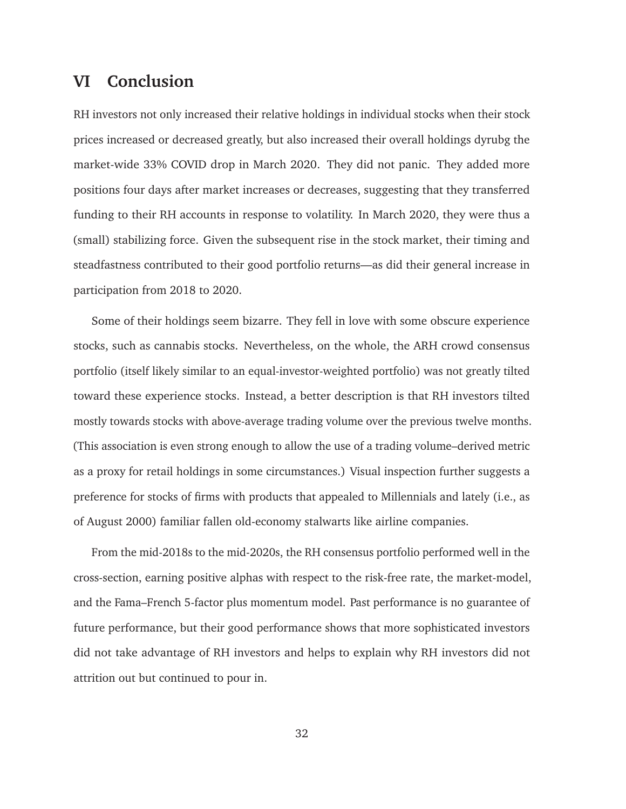# **VI Conclusion**

RH investors not only increased their relative holdings in individual stocks when their stock prices increased or decreased greatly, but also increased their overall holdings dyrubg the market-wide 33% COVID drop in March 2020. They did not panic. They added more positions four days after market increases or decreases, suggesting that they transferred funding to their RH accounts in response to volatility. In March 2020, they were thus a (small) stabilizing force. Given the subsequent rise in the stock market, their timing and steadfastness contributed to their good portfolio returns—as did their general increase in participation from 2018 to 2020.

Some of their holdings seem bizarre. They fell in love with some obscure experience stocks, such as cannabis stocks. Nevertheless, on the whole, the ARH crowd consensus portfolio (itself likely similar to an equal-investor-weighted portfolio) was not greatly tilted toward these experience stocks. Instead, a better description is that RH investors tilted mostly towards stocks with above-average trading volume over the previous twelve months. (This association is even strong enough to allow the use of a trading volume–derived metric as a proxy for retail holdings in some circumstances.) Visual inspection further suggests a preference for stocks of firms with products that appealed to Millennials and lately (i.e., as of August 2000) familiar fallen old-economy stalwarts like airline companies.

From the mid-2018s to the mid-2020s, the RH consensus portfolio performed well in the cross-section, earning positive alphas with respect to the risk-free rate, the market-model, and the Fama–French 5-factor plus momentum model. Past performance is no guarantee of future performance, but their good performance shows that more sophisticated investors did not take advantage of RH investors and helps to explain why RH investors did not attrition out but continued to pour in.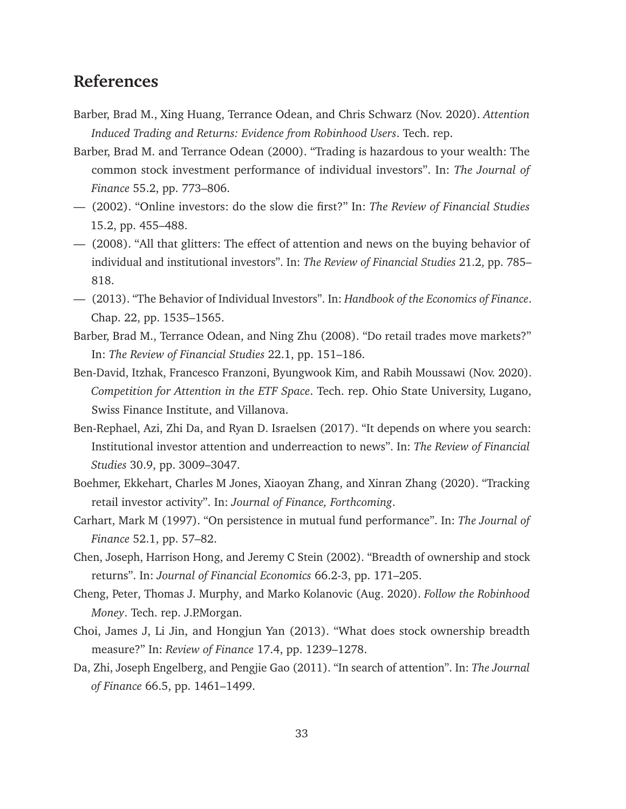# **References**

- Barber, Brad M., Xing Huang, Terrance Odean, and Chris Schwarz (Nov. 2020). *Attention Induced Trading and Returns: Evidence from Robinhood Users*. Tech. rep.
- Barber, Brad M. and Terrance Odean (2000). "Trading is hazardous to your wealth: The common stock investment performance of individual investors". In: *The Journal of Finance* 55.2, pp. 773–806.
- (2002). "Online investors: do the slow die first?" In: *The Review of Financial Studies* 15.2, pp. 455–488.
- (2008). "All that glitters: The effect of attention and news on the buying behavior of individual and institutional investors". In: *The Review of Financial Studies* 21.2, pp. 785– 818.
- (2013). "The Behavior of Individual Investors". In: *Handbook of the Economics of Finance*. Chap. 22, pp. 1535–1565.
- Barber, Brad M., Terrance Odean, and Ning Zhu (2008). "Do retail trades move markets?" In: *The Review of Financial Studies* 22.1, pp. 151–186.
- Ben-David, Itzhak, Francesco Franzoni, Byungwook Kim, and Rabih Moussawi (Nov. 2020). *Competition for Attention in the ETF Space*. Tech. rep. Ohio State University, Lugano, Swiss Finance Institute, and Villanova.
- Ben-Rephael, Azi, Zhi Da, and Ryan D. Israelsen (2017). "It depends on where you search: Institutional investor attention and underreaction to news". In: *The Review of Financial Studies* 30.9, pp. 3009–3047.
- Boehmer, Ekkehart, Charles M Jones, Xiaoyan Zhang, and Xinran Zhang (2020). "Tracking retail investor activity". In: *Journal of Finance, Forthcoming*.
- Carhart, Mark M (1997). "On persistence in mutual fund performance". In: *The Journal of Finance* 52.1, pp. 57–82.
- Chen, Joseph, Harrison Hong, and Jeremy C Stein (2002). "Breadth of ownership and stock returns". In: *Journal of Financial Economics* 66.2-3, pp. 171–205.
- Cheng, Peter, Thomas J. Murphy, and Marko Kolanovic (Aug. 2020). *Follow the Robinhood Money*. Tech. rep. J.P.Morgan.
- Choi, James J, Li Jin, and Hongjun Yan (2013). "What does stock ownership breadth measure?" In: *Review of Finance* 17.4, pp. 1239–1278.
- Da, Zhi, Joseph Engelberg, and Pengjie Gao (2011). "In search of attention". In: *The Journal of Finance* 66.5, pp. 1461–1499.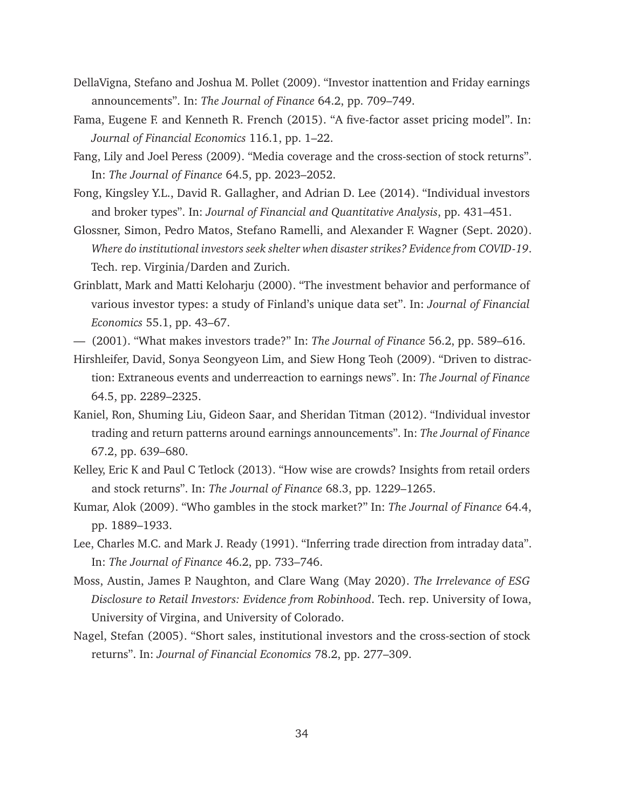- DellaVigna, Stefano and Joshua M. Pollet (2009). "Investor inattention and Friday earnings announcements". In: *The Journal of Finance* 64.2, pp. 709–749.
- Fama, Eugene F. and Kenneth R. French (2015). "A five-factor asset pricing model". In: *Journal of Financial Economics* 116.1, pp. 1–22.
- Fang, Lily and Joel Peress (2009). "Media coverage and the cross-section of stock returns". In: *The Journal of Finance* 64.5, pp. 2023–2052.
- Fong, Kingsley Y.L., David R. Gallagher, and Adrian D. Lee (2014). "Individual investors and broker types". In: *Journal of Financial and Quantitative Analysis*, pp. 431–451.
- Glossner, Simon, Pedro Matos, Stefano Ramelli, and Alexander F. Wagner (Sept. 2020). *Where do institutional investors seek shelter when disaster strikes? Evidence from COVID-19*. Tech. rep. Virginia/Darden and Zurich.
- Grinblatt, Mark and Matti Keloharju (2000). "The investment behavior and performance of various investor types: a study of Finland's unique data set". In: *Journal of Financial Economics* 55.1, pp. 43–67.
- (2001). "What makes investors trade?" In: *The Journal of Finance* 56.2, pp. 589–616.
- Hirshleifer, David, Sonya Seongyeon Lim, and Siew Hong Teoh (2009). "Driven to distraction: Extraneous events and underreaction to earnings news". In: *The Journal of Finance* 64.5, pp. 2289–2325.
- Kaniel, Ron, Shuming Liu, Gideon Saar, and Sheridan Titman (2012). "Individual investor trading and return patterns around earnings announcements". In: *The Journal of Finance* 67.2, pp. 639–680.
- Kelley, Eric K and Paul C Tetlock (2013). "How wise are crowds? Insights from retail orders and stock returns". In: *The Journal of Finance* 68.3, pp. 1229–1265.
- Kumar, Alok (2009). "Who gambles in the stock market?" In: *The Journal of Finance* 64.4, pp. 1889–1933.
- Lee, Charles M.C. and Mark J. Ready (1991). "Inferring trade direction from intraday data". In: *The Journal of Finance* 46.2, pp. 733–746.
- Moss, Austin, James P. Naughton, and Clare Wang (May 2020). *The Irrelevance of ESG Disclosure to Retail Investors: Evidence from Robinhood*. Tech. rep. University of Iowa, University of Virgina, and University of Colorado.
- Nagel, Stefan (2005). "Short sales, institutional investors and the cross-section of stock returns". In: *Journal of Financial Economics* 78.2, pp. 277–309.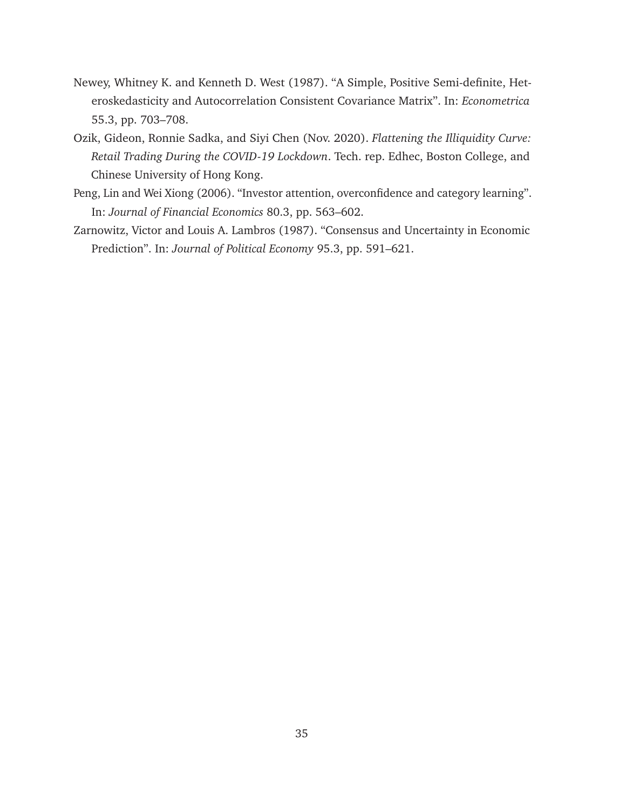- Newey, Whitney K. and Kenneth D. West (1987). "A Simple, Positive Semi-definite, Heteroskedasticity and Autocorrelation Consistent Covariance Matrix". In: *Econometrica* 55.3, pp. 703–708.
- Ozik, Gideon, Ronnie Sadka, and Siyi Chen (Nov. 2020). *Flattening the Illiquidity Curve: Retail Trading During the COVID-19 Lockdown*. Tech. rep. Edhec, Boston College, and Chinese University of Hong Kong.
- Peng, Lin and Wei Xiong (2006). "Investor attention, overconfidence and category learning". In: *Journal of Financial Economics* 80.3, pp. 563–602.
- Zarnowitz, Victor and Louis A. Lambros (1987). "Consensus and Uncertainty in Economic Prediction". In: *Journal of Political Economy* 95.3, pp. 591–621.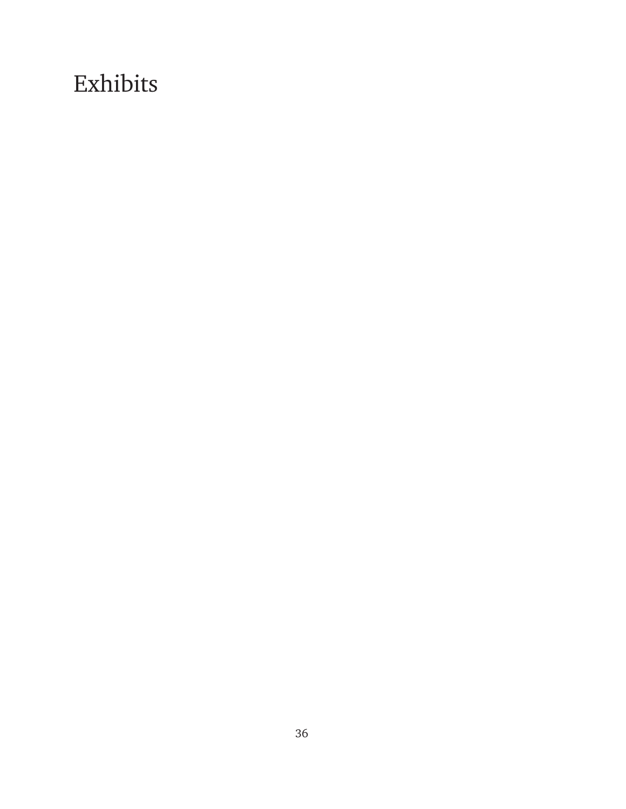# Exhibits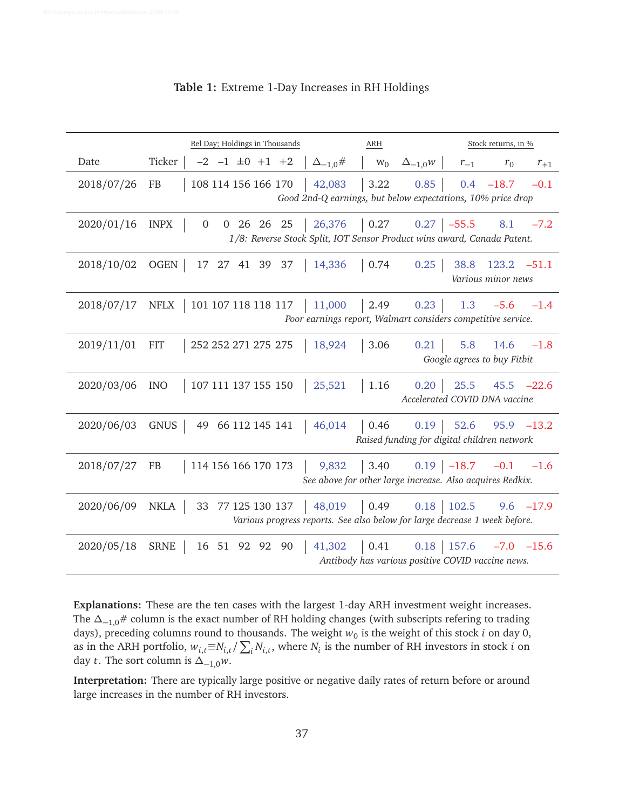|            | Rel Day; Holdings in Thousands              | <b>ARH</b>                   | Stock returns, in %                                                                                                            |
|------------|---------------------------------------------|------------------------------|--------------------------------------------------------------------------------------------------------------------------------|
| Date       | Ticker<br>$-2$ $-1$ $\pm 0$ $+1$ $+2$       | $\Delta_{-1,0}$ #<br>$W_0$   | $\Delta_{-1,0}$ W<br>$r_{-1}$<br>$r_0$<br>$r_{+1}$                                                                             |
| 2018/07/26 | <b>FB</b><br>108 114 156 166 170            | 3.22<br>42,083               | 0.85<br>$0.4 -18.7$<br>$-0.1$<br>Good 2nd-Q earnings, but below expectations, 10% price drop                                   |
| 2020/01/16 | 0 26 26 25<br><b>INPX</b><br>$\overline{0}$ | $\vert 0.27 \vert$<br>26,376 | $0.27$ -55.5<br>8.1<br>$-7.2$<br>1/8: Reverse Stock Split, IOT Sensor Product wins award, Canada Patent.                       |
| 2018/10/02 | 17 27 41 39 37<br>OGEN                      | 14,336<br>0.74               | 0.25<br>38.8<br>$123.2 -51.1$<br>Various minor news                                                                            |
| 2018/07/17 | 101 107 118 118 117<br>NFLX                 | 11,000<br>2.49               | 0.23<br>1.3<br>$-5.6$<br>$-1.4$<br>Poor earnings report, Walmart considers competitive service.                                |
| 2019/11/01 | 252 252 271 275 275<br><b>FIT</b>           | 3.06<br>18,924               | 0.21<br>5.8<br>14.6<br>$-1.8$<br>Google agrees to buy Fitbit                                                                   |
| 2020/03/06 | <b>INO</b><br>107 111 137 155 150           | 25,521<br>1.16               | $25.5$ 45.5 $-22.6$<br>0.20<br>Accelerated COVID DNA vaccine                                                                   |
| 2020/06/03 | 49 66 112 145 141<br>GNUS                   | $\vert 0.46 \vert$<br>46,014 | 0.19<br>$95.9 -13.2$<br>52.6<br>Raised funding for digital children network                                                    |
| 2018/07/27 | 114 156 166 170 173<br>FB                   | 9,832                        | $\begin{vmatrix} 3.40 & 0.19 & -18.7 & -0.1 & -1.6 \end{vmatrix}$<br>See above for other large increase. Also acquires Redkix. |
| 2020/06/09 | 33 77 125 130 137<br><b>NKLA</b>            | 48,019<br>$0.49$ $0.18$      | 102.5<br>$9.6 -17.9$<br>Various progress reports. See also below for large decrease 1 week before.                             |
| 2020/05/18 | <b>SRNE</b><br>16 51 92 92 90               | 41,302<br>  0.41             | $0.18$ 157.6<br>$-7.0$ $-15.6$<br>Antibody has various positive COVID vaccine news.                                            |

**Table 1:** Extreme 1-Day Increases in RH Holdings

**Explanations:** These are the ten cases with the largest 1-day ARH investment weight increases. The  $\Delta$ <sub>−1,0</sub># column is the exact number of RH holding changes (with subscripts refering to trading days), preceding columns round to thousands. The weight  $w_0$  is the weight of this stock  $i$  on day 0, as in the ARH portfolio,  $w_{i,t} \equiv N_{i,t}/\sum_i N_{i,t}$ , where  $N_i$  is the number of RH investors in stock *i* on day *t*. The sort column is  $\Delta_{-1,0}w$ .

**Interpretation:** There are typically large positive or negative daily rates of return before or around large increases in the number of RH investors.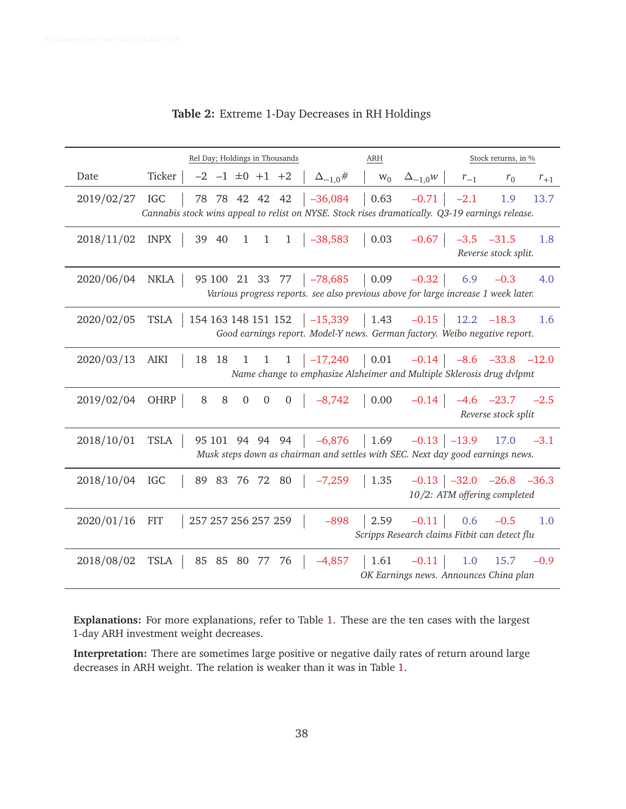|            | Rel Day; Holdings in Thousands                                                                                                                                           | <b>ARH</b>                                                                                    | Stock returns, in %                                                                                        |
|------------|--------------------------------------------------------------------------------------------------------------------------------------------------------------------------|-----------------------------------------------------------------------------------------------|------------------------------------------------------------------------------------------------------------|
| Date       | Ticker  <br>$-2$ $-1$ $\pm 0$ $+1$ $+2$<br>$\Delta_{-1,0}$ #                                                                                                             | $W_0$<br>$\Delta_{-1,0}$ w                                                                    | $r_{-1}$<br>$r_0$<br>$r_{+1}$                                                                              |
| 2019/02/27 | 78 78 42 42 42 $\vert$ -36,084 $\vert$ 0.63 -0.71 $\vert$ -2.1<br>IGC<br>Cannabis stock wins appeal to relist on NYSE. Stock rises dramatically. Q3-19 earnings release. |                                                                                               | 1.9<br>13.7                                                                                                |
| 2018/11/02 | 39 40 1 1 1 $-38,583$ 0.03<br>INPX                                                                                                                                       |                                                                                               | $-0.67$ $-3.5$ $-31.5$<br>1.8<br>Reverse stock split.                                                      |
| 2020/06/04 | 95 100 21 33 77 $\vert$ -78,685 $\vert$ 0.09 -0.32 $\vert$ 6.9 -0.3<br>NKLA  <br>Various progress reports. see also previous above for large increase 1 week later.      |                                                                                               | 4.0                                                                                                        |
| 2020/02/05 | 154 163 148 151 152   -15,339   1.43 -0.15   12.2 -18.3<br><b>TSLA</b><br>Good earnings report. Model-Y news. German factory. Weibo negative report.                     |                                                                                               | 1.6                                                                                                        |
| 2020/03/13 | 18 18 1 1 1 $\vert$ -17,240 $\vert$ 0.01 -0.14 $\vert$ -8.6 -33.8 -12.0<br>AIKI<br>Name change to emphasize Alzheimer and Multiple Sklerosis drug dvlpmt                 |                                                                                               |                                                                                                            |
| 2019/02/04 | $0\quad 0$<br>OHRP  <br>$8\,$<br>$\, 8$                                                                                                                                  |                                                                                               | $0$   $-8,742$   0.00 $-0.14$   $-4.6$ $-23.7$ $-2.5$<br>Reverse stock split                               |
| 2018/10/01 | $95\ 101\ 94\ 94\ 94$ $-6,876$ 1.69<br>TSLA<br>Musk steps down as chairman and settles with SEC. Next day good earnings news.                                            |                                                                                               | $-0.13$ $-13.9$ 17.0 $-3.1$                                                                                |
| 2018/10/04 | 89 83 76 72 80 -7,259<br>IGC                                                                                                                                             | $1.35$                                                                                        | $-0.13$ $-32.0$ $-26.8$ $-36.3$<br>10/2: ATM offering completed                                            |
| 2020/01/16 | 257 257 256 257 259<br><b>FIT</b><br>$-898$                                                                                                                              | $\begin{vmatrix} 2.59 & -0.11 \end{vmatrix}$<br>Scripps Research claims Fitbit can detect flu | 0.6<br>$-0.5$<br>1.0                                                                                       |
| 2018/08/02 | 85 85 80 77<br>76<br>$-4,857$<br>TSLA                                                                                                                                    |                                                                                               | $\begin{vmatrix} 1.61 & -0.11 & 1.0 & 15.7 & -0.9 \end{vmatrix}$<br>OK Earnings news. Announces China plan |

# **Table 2:** Extreme 1-Day Decreases in RH Holdings

**Explanations:** For more explanations, refer to Table 1. These are the ten cases with the largest 1-day ARH investment weight decreases.

**Interpretation:** There are sometimes large positive or negative daily rates of return around large decreases in ARH weight. The relation is weaker than it was in Table 1.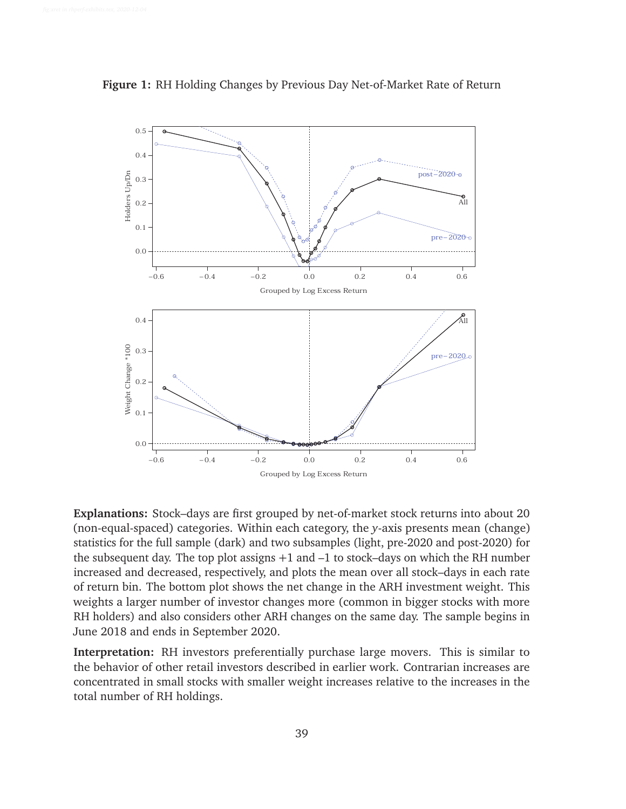

**Figure 1:** RH Holding Changes by Previous Day Net-of-Market Rate of Return

**Explanations:** Stock–days are first grouped by net-of-market stock returns into about 20 (non-equal-spaced) categories. Within each category, the *y*-axis presents mean (change) statistics for the full sample (dark) and two subsamples (light, pre-2020 and post-2020) for the subsequent day. The top plot assigns  $+1$  and  $-1$  to stock–days on which the RH number increased and decreased, respectively, and plots the mean over all stock–days in each rate of return bin. The bottom plot shows the net change in the ARH investment weight. This weights a larger number of investor changes more (common in bigger stocks with more RH holders) and also considers other ARH changes on the same day. The sample begins in June 2018 and ends in September 2020.

**Interpretation:** RH investors preferentially purchase large movers. This is similar to the behavior of other retail investors described in earlier work. Contrarian increases are concentrated in small stocks with smaller weight increases relative to the increases in the total number of RH holdings.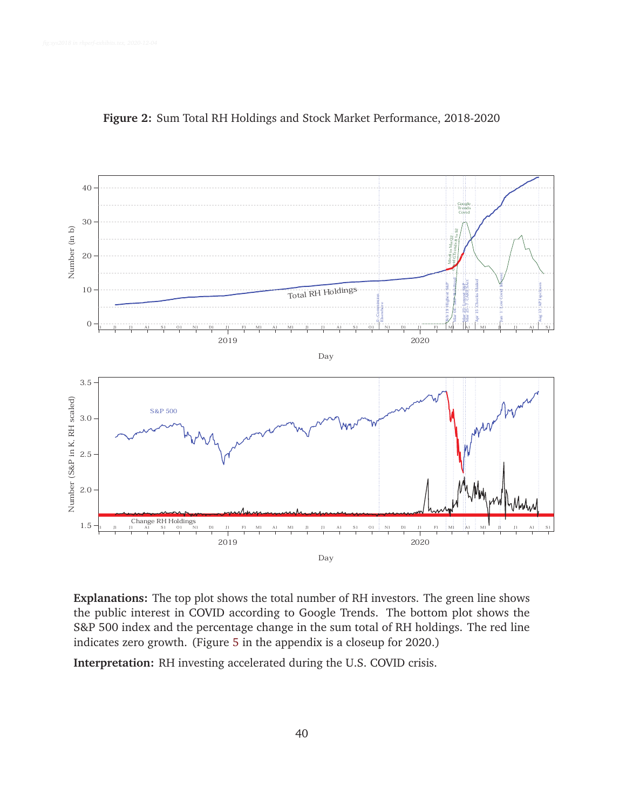

### **Figure 2:** Sum Total RH Holdings and Stock Market Performance, 2018-2020

the public interest in COVID according to Google Trends. The bottom plot shows the S&P 500 index and the percentage change in the sum total of RH holdings. The red line indicates zero growth. (Figure 5 in the appendix is a closeup for 2020.)

**Interpretation:** RH investing accelerated during the U.S. COVID crisis.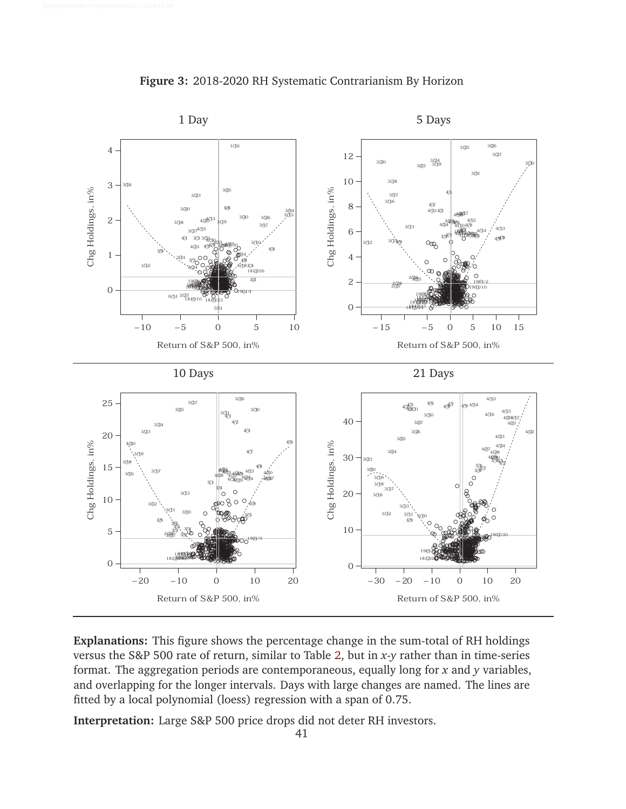

**Figure 3:** 2018-2020 RH Systematic Contrarianism By Horizon

**Explanations:** This figure shows the percentage change in the sum-total of RH holdings versus the S&P 500 rate of return, similar to Table 2, but in *x*-*y* rather than in time-series format. The aggregation periods are contemporaneous, equally long for *x* and *y* variables, and overlapping for the longer intervals. Days with large changes are named. The lines are fitted by a local polynomial (loess) regression with a span of 0.75.

**Interpretation:** Large S&P 500 price drops did not deter RH investors.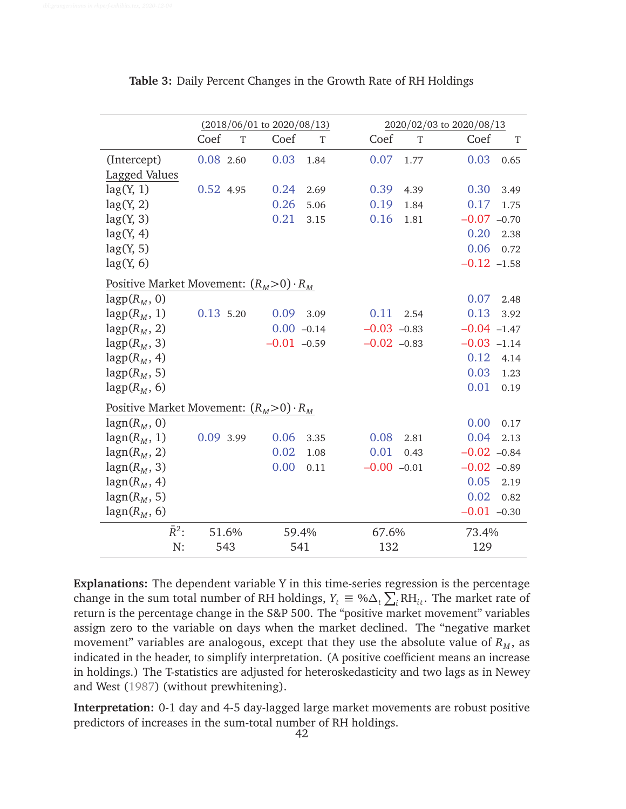|                                               |             | $(2018/06/01$ to $2020/08/13)$ |              |               |      | 2020/02/03 to 2020/08/13 |
|-----------------------------------------------|-------------|--------------------------------|--------------|---------------|------|--------------------------|
|                                               | Coef        | Coef<br>T                      | T            | Coef          | T    | Coef<br>T                |
| (Intercept)                                   | $0.08$ 2.60 | 0.03                           | 1.84         | 0.07          | 1.77 | 0.03<br>0.65             |
| Lagged Values                                 |             |                                |              |               |      |                          |
| lag(Y, 1)                                     | 0.52 4.95   | 0.24                           | 2.69         | 0.39          | 4.39 | 0.30<br>3.49             |
| lag(Y, 2)                                     |             | 0.26                           | 5.06         | 0.19          | 1.84 | 0.17<br>1.75             |
| lag(Y, 3)                                     |             | 0.21                           | 3.15         | 0.16          | 1.81 | $-0.07 -0.70$            |
| lag(Y, 4)                                     |             |                                |              |               |      | 0.20<br>2.38             |
| lag(Y, 5)                                     |             |                                |              |               |      | 0.06<br>0.72             |
| lag(Y, 6)                                     |             |                                |              |               |      | $-0.12 -1.58$            |
| Positive Market Movement: $(R_M>0) \cdot R_M$ |             |                                |              |               |      |                          |
| $lagp(R_M, 0)$                                |             |                                |              |               |      | 0.07<br>2.48             |
| $lagp(R_M, 1)$                                | 0.13 5.20   | 0.09                           | 3.09         | 0.11          | 2.54 | 0.13<br>3.92             |
| $lagp(R_M, 2)$                                |             |                                | $0.00 -0.14$ | $-0.03 -0.83$ |      | $-0.04 -1.47$            |
| $lagp(R_M, 3)$                                |             | $-0.01 -0.59$                  |              | $-0.02 -0.83$ |      | $-0.03 -1.14$            |
| $lagp(R_M, 4)$                                |             |                                |              |               |      | 0.12<br>4.14             |
| $lagp(R_M, 5)$                                |             |                                |              |               |      | 0.03<br>1.23             |
| $lagp(R_M, 6)$                                |             |                                |              |               |      | 0.01<br>0.19             |
| Positive Market Movement: $(R_M>0) \cdot R_M$ |             |                                |              |               |      |                          |
| $\text{lagn}(R_M, 0)$                         |             |                                |              |               |      | 0.00<br>0.17             |
| $\text{lagn}(R_M, 1)$                         | 0.09 3.99   | 0.06                           | 3.35         | 0.08          | 2.81 | 0.04<br>2.13             |
| $lagn(R_M, 2)$                                |             | 0.02                           | 1.08         | 0.01          | 0.43 | $-0.02 -0.84$            |
| $lagn(R_M, 3)$                                |             | 0.00                           | 0.11         | $-0.00 -0.01$ |      | $-0.02 -0.89$            |
| $\text{lagn}(R_M, 4)$                         |             |                                |              |               |      | 0.05<br>2.19             |
| $lagn(R_M, 5)$                                |             |                                |              |               |      | 0.02<br>0.82             |
| $\text{lagn}(R_M, 6)$                         |             |                                |              |               |      | $-0.01 -0.30$            |
| $\bar{R}^2$ :                                 | 51.6%       |                                | 59.4%        | 67.6%         |      | 73.4%                    |
| N:                                            | 543         |                                | 541          | 132           |      | 129                      |

**Table 3:** Daily Percent Changes in the Growth Rate of RH Holdings

**Explanations:** The dependent variable Y in this time-series regression is the percentage change in the sum total number of RH holdings,  $Y_t \equiv \% \Delta_t \sum_i RH_{it}$ . The market rate of return is the percentage change in the S&P 500. The "positive market movement" variables assign zero to the variable on days when the market declined. The "negative market movement" variables are analogous, except that they use the absolute value of  $R_M$ , as indicated in the header, to simplify interpretation. (A positive coefficient means an increase in holdings.) The T-statistics are adjusted for heteroskedasticity and two lags as in Newey and West (1987) (without prewhitening).

**Interpretation:** 0-1 day and 4-5 day-lagged large market movements are robust positive predictors of increases in the sum-total number of RH holdings.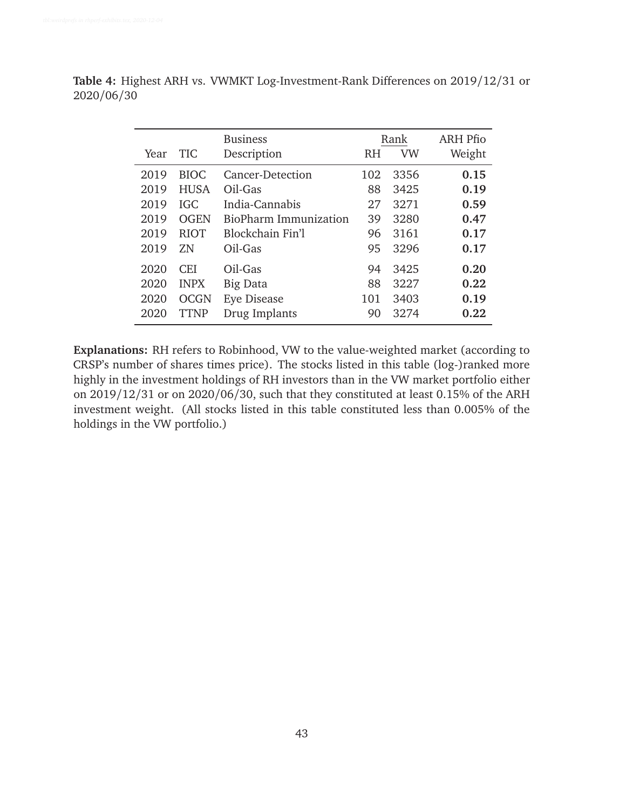**Table 4:** Highest ARH vs. VWMKT Log-Investment-Rank Differences on 2019/12/31 or 2020/06/30

|      |             | <b>Business</b>         |     | Rank      | ARH Pfio |
|------|-------------|-------------------------|-----|-----------|----------|
| Year | <b>TIC</b>  | Description             | RH  | <b>VW</b> | Weight   |
| 2019 | <b>BIOC</b> | <b>Cancer-Detection</b> | 102 | 3356      | 0.15     |
| 2019 | <b>HUSA</b> | Oil-Gas                 | 88  | 3425      | 0.19     |
| 2019 | IGC.        | India-Cannabis          | 27  | 3271      | 0.59     |
| 2019 | <b>OGEN</b> | BioPharm Immunization   | 39  | 3280      | 0.47     |
| 2019 | <b>RIOT</b> | Blockchain Fin'l        | 96  | 3161      | 0.17     |
| 2019 | 7.N         | Oil-Gas                 | 95  | 3296      | 0.17     |
| 2020 | <b>CEI</b>  | Oil-Gas                 | 94  | 3425      | 0.20     |
| 2020 | <b>INPX</b> | Big Data                | 88  | 3227      | 0.22     |
| 2020 | <b>OCGN</b> | Eye Disease             | 101 | 3403      | 0.19     |
| 2020 | TTNP        | Drug Implants           | 90  | 3274      | 0.22     |

**Explanations:** RH refers to Robinhood, VW to the value-weighted market (according to CRSP's number of shares times price). The stocks listed in this table (log-)ranked more highly in the investment holdings of RH investors than in the VW market portfolio either on 2019/12/31 or on 2020/06/30, such that they constituted at least 0.15% of the ARH investment weight. (All stocks listed in this table constituted less than 0.005% of the holdings in the VW portfolio.)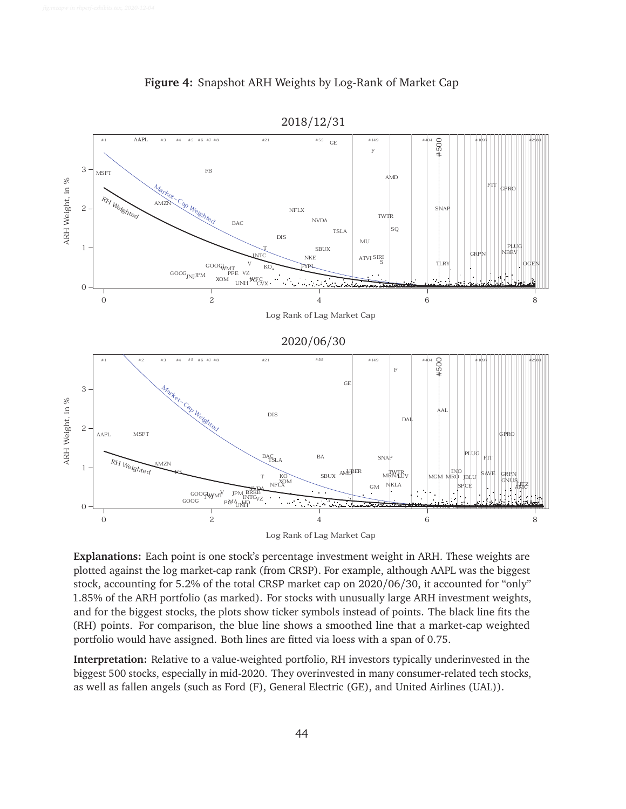



**Explanations:** Each point is one stock's percentage investment weight in ARH. These weights are plotted against the log market-cap rank (from CRSP). For example, although AAPL was the biggest stock, accounting for 5.2% of the total CRSP market cap on 2020/06/30, it accounted for "only" 1.85% of the ARH portfolio (as marked). For stocks with unusually large ARH investment weights, and for the biggest stocks, the plots show ticker symbols instead of points. The black line fits the (RH) points. For comparison, the blue line shows a smoothed line that a market-cap weighted portfolio would have assigned. Both lines are fitted via loess with a span of 0.75.

**Interpretation:** Relative to a value-weighted portfolio, RH investors typically underinvested in the biggest 500 stocks, especially in mid-2020. They overinvested in many consumer-related tech stocks, as well as fallen angels (such as Ford (F), General Electric (GE), and United Airlines (UAL)).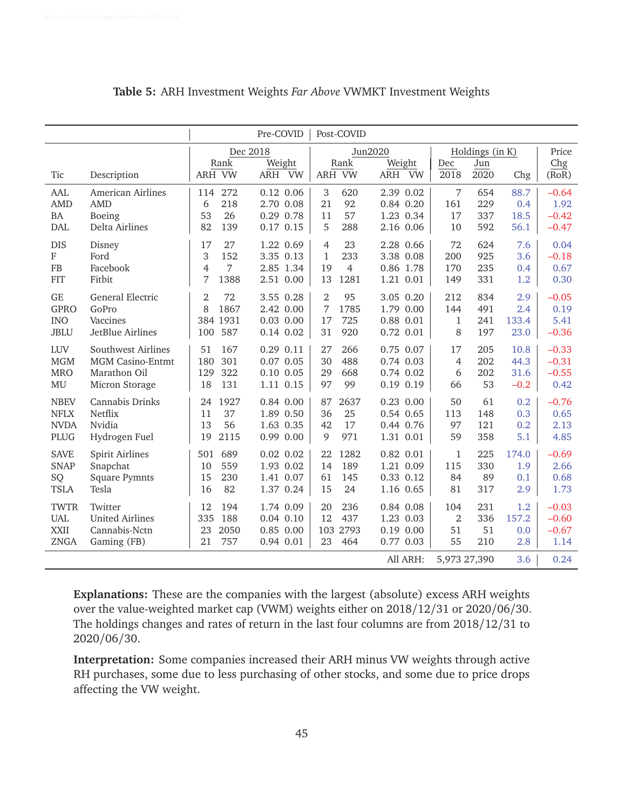|             |                         |                      | Pre-COVID          | Post-COVID           |               |                |                        |        |              |
|-------------|-------------------------|----------------------|--------------------|----------------------|---------------|----------------|------------------------|--------|--------------|
|             |                         | Rank                 | Dec 2018<br>Weight | Jun2020<br>Rank      | Weight        | Dec            | Holdings (in K)<br>Jun |        | Price<br>Chg |
| Tic         | Description             | ARH VW               | ARH VW             | ARH VW               | ARH VW        | 2018           | 2020                   | Chg    | (RoR)        |
| AAL         | American Airlines       | 272<br>114           | $0.12$ 0.06        | 3<br>620             | 2.39 0.02     | $\overline{7}$ | 654                    | 88.7   | $-0.64$      |
| <b>AMD</b>  | <b>AMD</b>              | 218<br>6             | 2.70 0.08          | 21<br>92             | 0.84 0.20     | 161            | 229                    | 0.4    | 1.92         |
| BA          | Boeing                  | 26<br>53             | 0.29 0.78          | 57<br>11             | 1.23 0.34     | 17             | 337                    | 18.5   | $-0.42$      |
| <b>DAL</b>  | Delta Airlines          | 82<br>139            | $0.17$ 0.15        | 5<br>288             | 2.16 0.06     | 10             | 592                    | 56.1   | $-0.47$      |
| <b>DIS</b>  | Disney                  | 17<br>27             | 1.22 0.69          | 23<br>$\overline{4}$ | 2.28 0.66     | 72             | 624                    | 7.6    | 0.04         |
| ${\bf F}$   | Ford                    | 3<br>152             | 3.35 0.13          | $\mathbf{1}$<br>233  | 3.38 0.08     | 200            | 925                    | 3.6    | $-0.18$      |
| FB          | Facebook                | 7<br>4               | 2.85 1.34          | 19<br>$\overline{4}$ | 0.86 1.78     | 170            | 235                    | 0.4    | 0.67         |
| <b>FIT</b>  | Fitbit                  | 7<br>1388            | 2.51 0.00          | 13<br>1281           | 1.21 0.01     | 149            | 331                    | 1.2    | 0.30         |
| <b>GE</b>   | General Electric        | $\overline{2}$<br>72 | 3.55 0.28          | $\overline{2}$<br>95 | 3.05 0.20     | 212            | 834                    | 2.9    | $-0.05$      |
| <b>GPRO</b> | GoPro                   | 8<br>1867            | 2.42 0.00          | 7<br>1785            | 1.79 0.00     | 144            | 491                    | 2.4    | 0.19         |
| <b>INO</b>  | Vaccines                | 384 1931             | $0.03$ $0.00$      | 17<br>725            | 0.88 0.01     | $\mathbf{1}$   | 241                    | 133.4  | 5.41         |
| <b>JBLU</b> | JetBlue Airlines        | 587<br>100           | 0.14 0.02          | 920<br>31            | 0.72 0.01     | 8              | 197                    | 23.0   | $-0.36$      |
| <b>LUV</b>  | Southwest Airlines      | 51<br>167            | $0.29$ $0.11$      | 266<br>27            | 0.75 0.07     | 17             | 205                    | 10.8   | $-0.33$      |
| MGM         | <b>MGM Casino-Entmt</b> | 301<br>180           | $0.07$ 0.05        | 30<br>488            | 0.74 0.03     | $\overline{4}$ | 202                    | 44.3   | $-0.31$      |
| <b>MRO</b>  | Marathon Oil            | 322<br>129           | $0.10$ $0.05$      | 668<br>29            | 0.74 0.02     | 6              | 202                    | 31.6   | $-0.55$      |
| MU          | Micron Storage          | 18<br>131            | 1.11 0.15          | 99<br>97             | 0.19 0.19     | 66             | 53                     | $-0.2$ | 0.42         |
| <b>NBEV</b> | Cannabis Drinks         | 24<br>1927           | 0.84 0.00          | 87<br>2637           | $0.23$ $0.00$ | 50             | 61                     | 0.2    | $-0.76$      |
| <b>NFLX</b> | Netflix                 | 11<br>37             | 1.89 0.50          | 36<br>25             | 0.54 0.65     | 113            | 148                    | 0.3    | 0.65         |
| <b>NVDA</b> | Nvidia                  | 13<br>56             | 1.63 0.35          | 17<br>42             | 0.44 0.76     | 97             | 121                    | 0.2    | 2.13         |
| PLUG        | Hydrogen Fuel           | 2115<br>19           | 0.99 0.00          | 9<br>971             | 1.31 0.01     | 59             | 358                    | 5.1    | 4.85         |
| <b>SAVE</b> | <b>Spirit Airlines</b>  | 689<br>501           | $0.02$ $0.02$      | 22<br>1282           | $0.82$ $0.01$ | $\mathbf{1}$   | 225                    | 174.0  | $-0.69$      |
| <b>SNAP</b> | Snapchat                | 559<br>10            | 1.93 0.02          | 14<br>189            | 1.21 0.09     | 115            | 330                    | 1.9    | 2.66         |
| SQ          | <b>Square Pymnts</b>    | 230<br>15            | 1.41 0.07          | 61<br>145            | 0.33 0.12     | 84             | 89                     | 0.1    | 0.68         |
| <b>TSLA</b> | Tesla                   | 16<br>82             | 1.37 0.24          | 24<br>15             | 1.16 0.65     | 81             | 317                    | 2.9    | 1.73         |
| <b>TWTR</b> | Twitter                 | 12<br>194            | 1.74 0.09          | 20<br>236            | 0.84 0.08     | 104            | 231                    | 1.2    | $-0.03$      |
| <b>UAL</b>  | <b>United Airlines</b>  | 335<br>188           | $0.04$ $0.10$      | 12<br>437            | 1.23 0.03     | $\overline{2}$ | 336                    | 157.2  | $-0.60$      |
| <b>XXII</b> | Cannabis-Nctn           | 23<br>2050           | 0.85 0.00          | 103<br>2793          | $0.19$ $0.00$ | 51             | 51                     | 0.0    | $-0.67$      |
| ZNGA        | Gaming (FB)             | 21<br>757            | 0.94 0.01          | 23<br>464            | 0.77 0.03     | 55             | 210                    | 2.8    | 1.14         |
|             |                         |                      |                    |                      | All ARH:      | 5,973 27,390   |                        | 3.6    | 0.24         |

**Table 5:** ARH Investment Weights *Far Above* VWMKT Investment Weights

**Explanations:** These are the companies with the largest (absolute) excess ARH weights over the value-weighted market cap (VWM) weights either on 2018/12/31 or 2020/06/30. The holdings changes and rates of return in the last four columns are from 2018/12/31 to 2020/06/30.

**Interpretation:** Some companies increased their ARH minus VW weights through active RH purchases, some due to less purchasing of other stocks, and some due to price drops affecting the VW weight.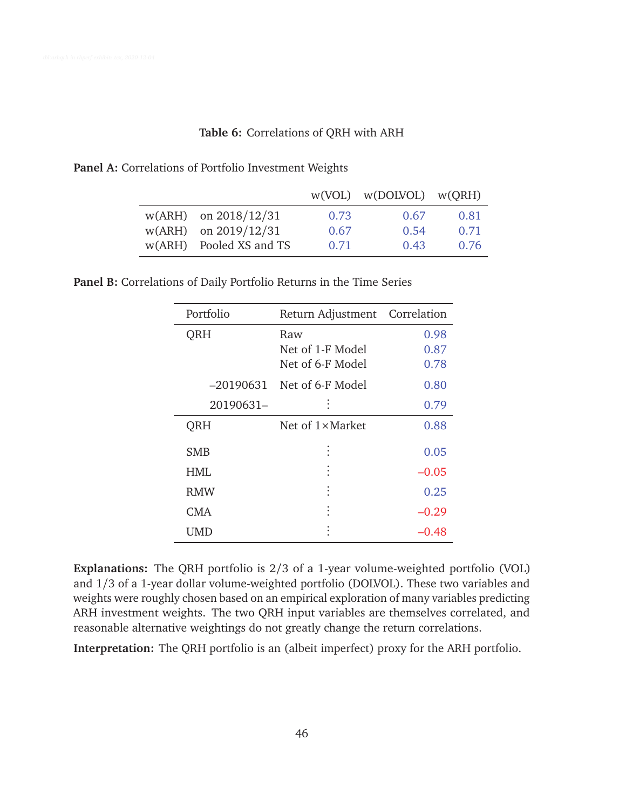### **Table 6:** Correlations of QRH with ARH

|  | Panel A: Correlations of Portfolio Investment Weights |  |  |  |
|--|-------------------------------------------------------|--|--|--|
|--|-------------------------------------------------------|--|--|--|

|                          |      | $w(VOL)$ $w(DOLVOL)$ $w(QRH)$ |      |
|--------------------------|------|-------------------------------|------|
| $w(ARH)$ on $2018/12/31$ | 0.73 | 0.67                          | 0.81 |
| $w(ARH)$ on 2019/12/31   | 0.67 | 0.54                          | 0.71 |
| w(ARH) Pooled XS and TS  | 0.71 | 0.43                          | 0.76 |

**Panel B:** Correlations of Daily Portfolio Returns in the Time Series

| Portfolio  | Return Adjustment Correlation               |                      |
|------------|---------------------------------------------|----------------------|
| <b>ORH</b> | Raw<br>Net of 1-F Model<br>Net of 6-F Model | 0.98<br>0.87<br>0.78 |
| –20190631  | Net of 6-F Model                            | 0.80                 |
| 20190631-  |                                             | 0.79                 |
| QRH        | Net of 1×Market                             | 0.88                 |
| <b>SMB</b> |                                             | 0.05                 |
| HMI.       |                                             | $-0.05$              |
| <b>RMW</b> |                                             | 0.25                 |
| CMA        |                                             | $-0.29$              |
| UMD        |                                             | –0.48                |

**Explanations:** The QRH portfolio is 2/3 of a 1-year volume-weighted portfolio (VOL) and 1/3 of a 1-year dollar volume-weighted portfolio (DOLVOL). These two variables and weights were roughly chosen based on an empirical exploration of many variables predicting ARH investment weights. The two QRH input variables are themselves correlated, and reasonable alternative weightings do not greatly change the return correlations.

**Interpretation:** The QRH portfolio is an (albeit imperfect) proxy for the ARH portfolio.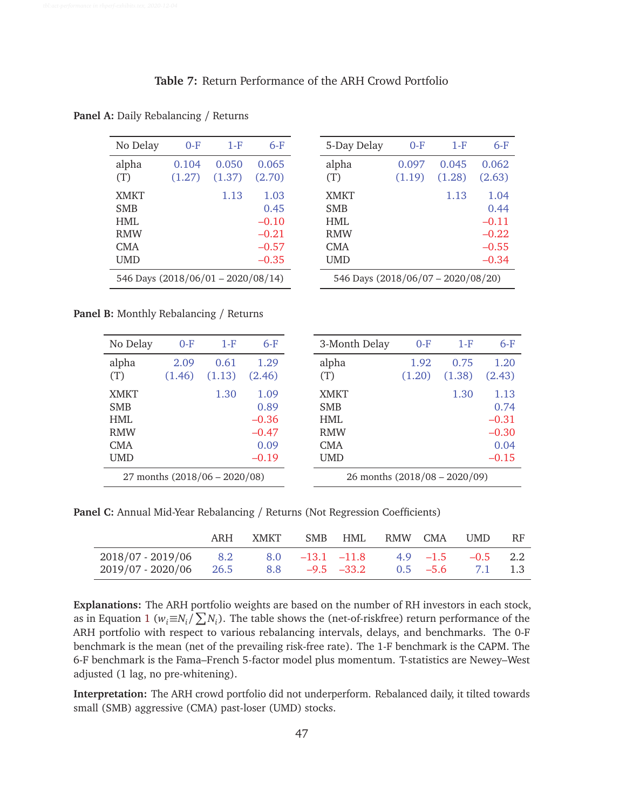# **Table 7:** Return Performance of the ARH Crowd Portfolio

| No Delay                                                      | $0-F$           | 1-F             | 6-F                                                      |  |  |  |  |
|---------------------------------------------------------------|-----------------|-----------------|----------------------------------------------------------|--|--|--|--|
| alpha<br>(T)                                                  | 0.104<br>(1.27) | 0.050<br>(1.37) | 0.065<br>(2.70)                                          |  |  |  |  |
| <b>XMKT</b><br><b>SMB</b><br>HMI.<br><b>RMW</b><br>CMA<br>UMD |                 | 1.13            | 1.03<br>0.45<br>$-0.10$<br>$-0.21$<br>$-0.57$<br>$-0.35$ |  |  |  |  |
| 546 Days (2018/06/01 - 2020/08/14)                            |                 |                 |                                                          |  |  |  |  |

**Panel A:** Daily Rebalancing / Returns

| 5-Day Delay                                                   | $0-F$                              | 1-F             | $6-F$                                                    |  |  |  |  |
|---------------------------------------------------------------|------------------------------------|-----------------|----------------------------------------------------------|--|--|--|--|
| alpha<br>(T)                                                  | 0.097<br>(1.19)                    | 0.045<br>(1.28) | 0.062<br>(2.63)                                          |  |  |  |  |
| <b>XMKT</b><br><b>SMB</b><br>HMI.<br><b>RMW</b><br>CMA<br>UMD |                                    | 1.13            | 1.04<br>0.44<br>$-0.11$<br>$-0.22$<br>$-0.55$<br>$-0.34$ |  |  |  |  |
|                                                               | 546 Days (2018/06/07 - 2020/08/20) |                 |                                                          |  |  |  |  |

**Panel B:** Monthly Rebalancing / Returns

| No Delay                      | $0-F$  | $1-F$  | $6-F$                         | 3-Month Delay             | $0-F$  | $1-F$  | $6-F$        |
|-------------------------------|--------|--------|-------------------------------|---------------------------|--------|--------|--------------|
| alpha                         | 2.09   | 0.61   | 1.29                          | alpha                     | 1.92   | 0.75   | 1.20         |
| (T)                           | (1.46) | (1.13) | (2.46)                        | (T)                       | (1.20) | (1.38) | (2.43)       |
| <b>XMKT</b><br><b>SMB</b>     |        | 1.30   | 1.09<br>0.89                  | <b>XMKT</b><br><b>SMB</b> |        | 1.30   | 1.13<br>0.74 |
|                               |        |        |                               |                           |        |        |              |
| <b>HML</b>                    |        |        | $-0.36$                       | HMI.                      |        |        | $-0.31$      |
| <b>RMW</b>                    |        |        | $-0.47$                       | <b>RMW</b>                |        |        | $-0.30$      |
| CMA                           |        |        | 0.09                          | <b>CMA</b>                |        |        | 0.04         |
| <b>UMD</b>                    |        |        | $-0.19$                       | <b>UMD</b>                |        |        | $-0.15$      |
| 27 months (2018/06 - 2020/08) |        |        | 26 months (2018/08 - 2020/09) |                           |        |        |              |
|                               |        |        |                               |                           |        |        |              |

**Panel C:** Annual Mid-Year Rebalancing / Returns (Not Regression Coefficients)

|                                                                                                                                       | ARH | XMKT SMB HML RMW CMA |  |  | UMD | <b>RF</b> |
|---------------------------------------------------------------------------------------------------------------------------------------|-----|----------------------|--|--|-----|-----------|
| $2018/07 - 2019/06$ 8.2 8.0 -13.1 -11.8 4.9 -1.5 -0.5 2.2<br>$2019/07 - 2020/06$ $26.5$ $8.8$ $-9.5$ $-33.2$ $0.5$ $-5.6$ $7.1$ $1.3$ |     |                      |  |  |     |           |

**Explanations:** The ARH portfolio weights are based on the number of RH investors in each stock, as in Equation 1 ( $w_i \equiv N_i / \sum N_i$ ). The table shows the (net-of-riskfree) return performance of the ARH portfolio with respect to various rebalancing intervals, delays, and benchmarks. The 0-F benchmark is the mean (net of the prevailing risk-free rate). The 1-F benchmark is the CAPM. The 6-F benchmark is the Fama–French 5-factor model plus momentum. T-statistics are Newey–West adjusted (1 lag, no pre-whitening).

**Interpretation:** The ARH crowd portfolio did not underperform. Rebalanced daily, it tilted towards small (SMB) aggressive (CMA) past-loser (UMD) stocks.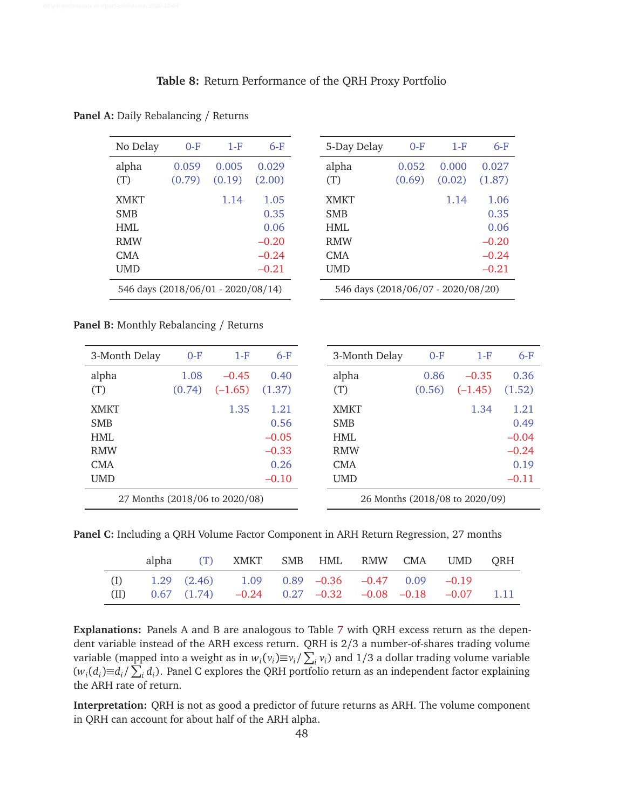### **Table 8:** Return Performance of the QRH Proxy Portfolio

| No Delay                           | $0-F$  | 1-F    | 6-F     |  |  |  |  |
|------------------------------------|--------|--------|---------|--|--|--|--|
| alpha                              | 0.059  | 0.005  | 0.029   |  |  |  |  |
| (T)                                | (0.79) | (0.19) | (2.00)  |  |  |  |  |
| <b>XMKT</b>                        |        | 1.14   | 1.05    |  |  |  |  |
| <b>SMB</b>                         |        |        | 0.35    |  |  |  |  |
| HMI.                               |        |        | 0.06    |  |  |  |  |
| <b>RMW</b>                         |        |        | $-0.20$ |  |  |  |  |
| CMA                                |        |        | $-0.24$ |  |  |  |  |
| UMD                                |        |        | $-0.21$ |  |  |  |  |
| 546 days (2018/06/01 - 2020/08/14) |        |        |         |  |  |  |  |

**Panel A:** Daily Rebalancing / Returns

| 5-Day Delay                        | $0-F$  | 1-F    | $6-F$   |  |  |  |  |
|------------------------------------|--------|--------|---------|--|--|--|--|
| alpha                              | 0.052  | 0.000  | 0.027   |  |  |  |  |
| (T)                                | (0.69) | (0.02) | (1.87)  |  |  |  |  |
| <b>XMKT</b>                        |        | 1.14   | 1.06    |  |  |  |  |
| SMB                                |        |        | 0.35    |  |  |  |  |
| HMI.                               |        |        | 0.06    |  |  |  |  |
| <b>RMW</b>                         |        |        | $-0.20$ |  |  |  |  |
| CMA                                |        |        | $-0.24$ |  |  |  |  |
| UMD                                |        |        | $-0.21$ |  |  |  |  |
| 546 days (2018/06/07 - 2020/08/20) |        |        |         |  |  |  |  |

**Panel B:** Monthly Rebalancing / Returns

| 3-Month Delay                  | $0-F$  | $1-F$     | $6-F$   | 3-Month Delay | $0-F$                          | $1-F$     | $6-F$   |
|--------------------------------|--------|-----------|---------|---------------|--------------------------------|-----------|---------|
| alpha                          | 1.08   | $-0.45$   | 0.40    | alpha         | 0.86                           | $-0.35$   | 0.36    |
| (T)                            | (0.74) | $(-1.65)$ | (1.37)  | (T)           | (0.56)                         | $(-1.45)$ | (1.52)  |
| <b>XMKT</b>                    |        | 1.35      | 1.21    | <b>XMKT</b>   |                                | 1.34      | 1.21    |
| <b>SMB</b>                     |        |           | 0.56    | <b>SMB</b>    |                                |           | 0.49    |
| HMI.                           |        |           | $-0.05$ | <b>HML</b>    |                                |           | $-0.04$ |
| <b>RMW</b>                     |        |           | $-0.33$ | <b>RMW</b>    |                                |           | $-0.24$ |
| CMA                            |        |           | 0.26    | <b>CMA</b>    |                                |           | 0.19    |
| <b>UMD</b>                     |        |           | $-0.10$ | <b>UMD</b>    |                                |           | $-0.11$ |
| 27 Months (2018/06 to 2020/08) |        |           |         |               | 26 Months (2018/08 to 2020/09) |           |         |

**Panel C:** Including a QRH Volume Factor Component in ARH Return Regression, 27 months

|     |  | alpha (T) XMKT SMB HML RMW CMA UMD QRH                                                                                               |  |  |  |
|-----|--|--------------------------------------------------------------------------------------------------------------------------------------|--|--|--|
| (I) |  | $1.29$ $(2.46)$ $1.09$ $0.89$ $-0.36$ $-0.47$ $0.09$ $-0.19$<br>(II) $0.67$ (1.74) $-0.24$ 0.27 $-0.32$ $-0.08$ $-0.18$ $-0.07$ 1.11 |  |  |  |

**Explanations:** Panels A and B are analogous to Table 7 with QRH excess return as the dependent variable instead of the ARH excess return. QRH is 2/3 a number-of-shares trading volume variable (mapped into a weight as in  $w_i(v_i) \equiv v_i / \sum_i v_i$ ) and 1/3 a dollar trading volume variable  $(w_i(d_i) \equiv d_i / ∑_i d_i)$ . Panel C explores the QRH portfolio return as an independent factor explaining the ARH rate of return.

**Interpretation:** QRH is not as good a predictor of future returns as ARH. The volume component in QRH can account for about half of the ARH alpha.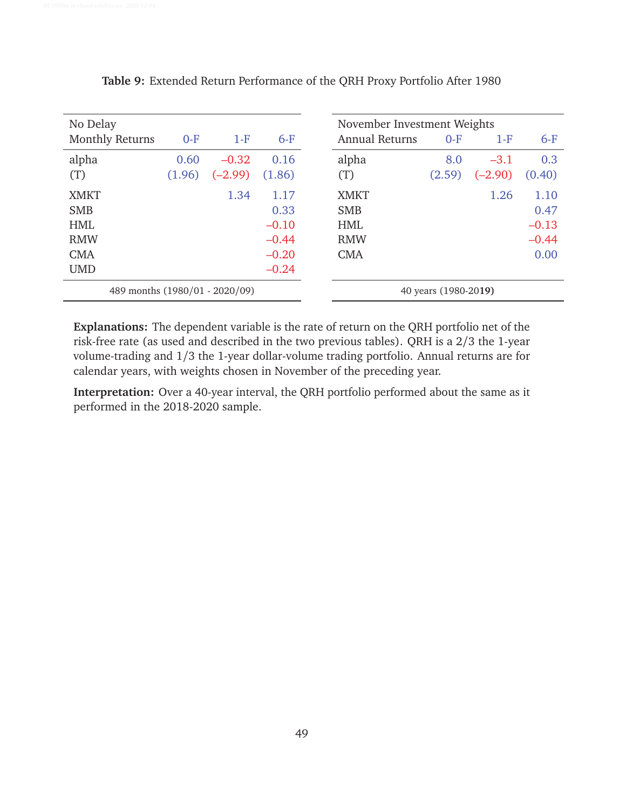| No Delay                       |        |           |         | November Investment Weights |        |           |         |
|--------------------------------|--------|-----------|---------|-----------------------------|--------|-----------|---------|
| <b>Monthly Returns</b>         | $O-F$  | $1-F$     | $6-F$   | <b>Annual Returns</b>       | $0-F$  | $1-F$     | $6-F$   |
| alpha                          | 0.60   | $-0.32$   | 0.16    | alpha                       | 8.0    | $-3.1$    | 0.3     |
| (T)                            | (1.96) | $(-2.99)$ | (1.86)  | (T)                         | (2.59) | $(-2.90)$ | (0.40)  |
| <b>XMKT</b>                    |        | 1.34      | 1.17    | <b>XMKT</b>                 |        | 1.26      | 1.10    |
| <b>SMB</b>                     |        |           | 0.33    | <b>SMB</b>                  |        |           | 0.47    |
| <b>HML</b>                     |        |           | $-0.10$ | <b>HML</b>                  |        |           | $-0.13$ |
| <b>RMW</b>                     |        |           | $-0.44$ | <b>RMW</b>                  |        |           | $-0.44$ |
| <b>CMA</b>                     |        |           | $-0.20$ | <b>CMA</b>                  |        |           | 0.00    |
| <b>UMD</b>                     |        |           | $-0.24$ |                             |        |           |         |
| 489 months (1980/01 - 2020/09) |        |           |         | 40 years (1980-2019)        |        |           |         |

**Table 9:** Extended Return Performance of the QRH Proxy Portfolio After 1980

**Explanations:** The dependent variable is the rate of return on the QRH portfolio net of the risk-free rate (as used and described in the two previous tables). QRH is a 2/3 the 1-year volume-trading and 1/3 the 1-year dollar-volume trading portfolio. Annual returns are for calendar years, with weights chosen in November of the preceding year.

**Interpretation:** Over a 40-year interval, the QRH portfolio performed about the same as it performed in the 2018-2020 sample.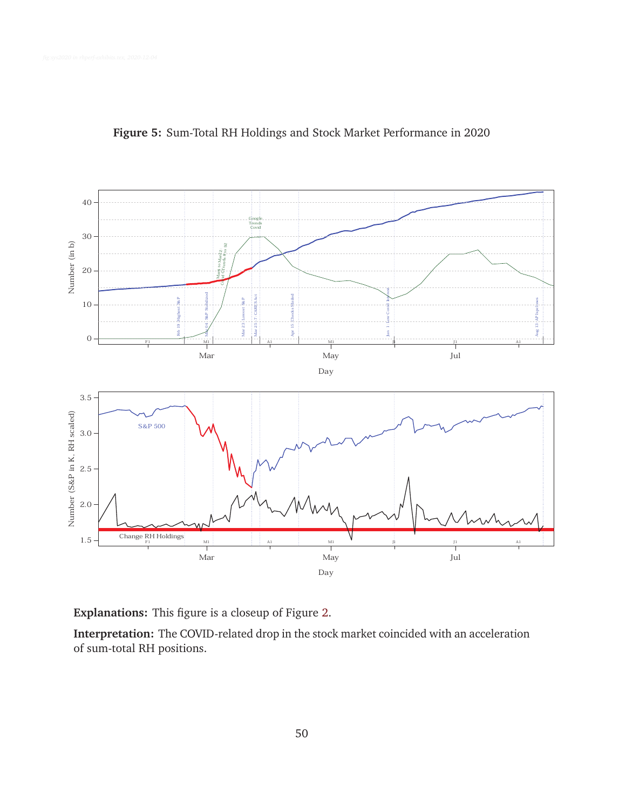

**Figure 5:** Sum-Total RH Holdings and Stock Market Performance in 2020

**Interpretation:** The COVID-related drop in the stock market coincided with an acceleration of sum-total RH positions.